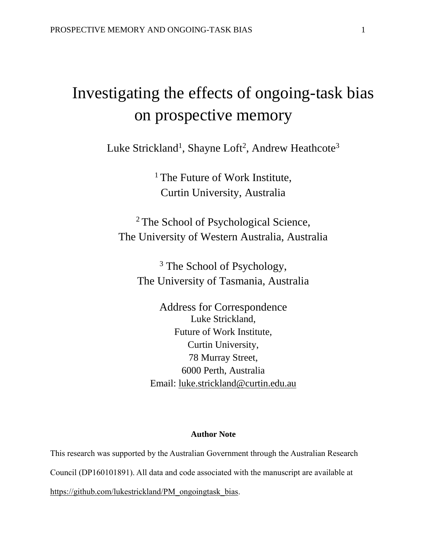# Investigating the effects of ongoing-task bias on prospective memory

Luke Strickland<sup>1</sup>, Shayne Loft<sup>2</sup>, Andrew Heathcote<sup>3</sup>

<sup>1</sup> The Future of Work Institute, Curtin University, Australia

<sup>2</sup> The School of Psychological Science, The University of Western Australia, Australia

<sup>3</sup> The School of Psychology, The University of Tasmania, Australia

Address for Correspondence Luke Strickland, Future of Work Institute, Curtin University, 78 Murray Street, 6000 Perth, Australia Email: [luke.strickland@curtin.edu.au](mailto:luke.strickland@curtin.edu.au)

### **Author Note**

This research was supported by the Australian Government through the Australian Research Council (DP160101891). All data and code associated with the manuscript are available at https://github.com/lukestrickland/PM\_ongoingtask\_bias.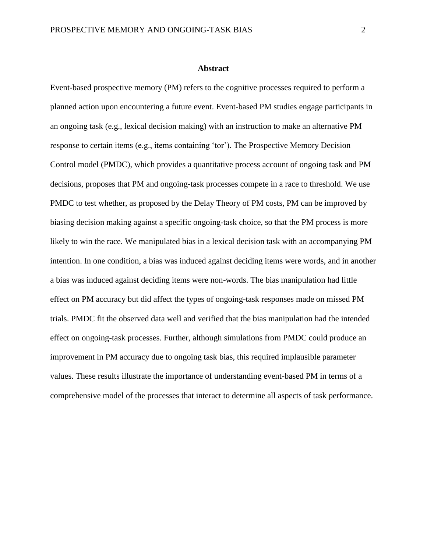#### **Abstract**

Event-based prospective memory (PM) refers to the cognitive processes required to perform a planned action upon encountering a future event. Event-based PM studies engage participants in an ongoing task (e.g., lexical decision making) with an instruction to make an alternative PM response to certain items (e.g., items containing 'tor'). The Prospective Memory Decision Control model (PMDC), which provides a quantitative process account of ongoing task and PM decisions, proposes that PM and ongoing-task processes compete in a race to threshold. We use PMDC to test whether, as proposed by the Delay Theory of PM costs, PM can be improved by biasing decision making against a specific ongoing-task choice, so that the PM process is more likely to win the race. We manipulated bias in a lexical decision task with an accompanying PM intention. In one condition, a bias was induced against deciding items were words, and in another a bias was induced against deciding items were non-words. The bias manipulation had little effect on PM accuracy but did affect the types of ongoing-task responses made on missed PM trials. PMDC fit the observed data well and verified that the bias manipulation had the intended effect on ongoing-task processes. Further, although simulations from PMDC could produce an improvement in PM accuracy due to ongoing task bias, this required implausible parameter values. These results illustrate the importance of understanding event-based PM in terms of a comprehensive model of the processes that interact to determine all aspects of task performance.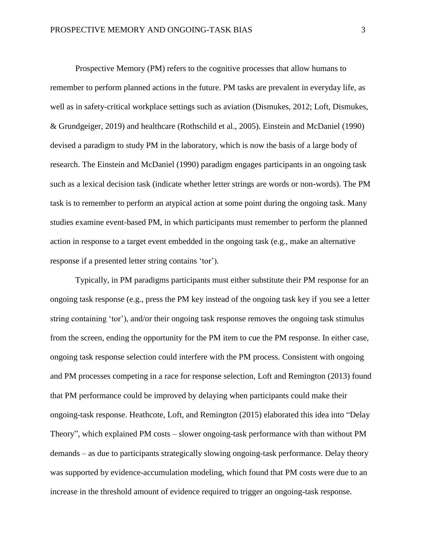Prospective Memory (PM) refers to the cognitive processes that allow humans to remember to perform planned actions in the future. PM tasks are prevalent in everyday life, as well as in safety-critical workplace settings such as aviation (Dismukes, 2012; Loft, Dismukes, & Grundgeiger, 2019) and healthcare (Rothschild et al., 2005). Einstein and McDaniel (1990) devised a paradigm to study PM in the laboratory, which is now the basis of a large body of research. The Einstein and McDaniel (1990) paradigm engages participants in an ongoing task such as a lexical decision task (indicate whether letter strings are words or non-words). The PM task is to remember to perform an atypical action at some point during the ongoing task. Many studies examine event-based PM, in which participants must remember to perform the planned action in response to a target event embedded in the ongoing task (e.g., make an alternative response if a presented letter string contains 'tor').

Typically, in PM paradigms participants must either substitute their PM response for an ongoing task response (e.g., press the PM key instead of the ongoing task key if you see a letter string containing 'tor'), and/or their ongoing task response removes the ongoing task stimulus from the screen, ending the opportunity for the PM item to cue the PM response. In either case, ongoing task response selection could interfere with the PM process. Consistent with ongoing and PM processes competing in a race for response selection, Loft and Remington (2013) found that PM performance could be improved by delaying when participants could make their ongoing-task response. Heathcote, Loft, and Remington (2015) elaborated this idea into "Delay Theory", which explained PM costs – slower ongoing-task performance with than without PM demands – as due to participants strategically slowing ongoing-task performance. Delay theory was supported by evidence-accumulation modeling, which found that PM costs were due to an increase in the threshold amount of evidence required to trigger an ongoing-task response.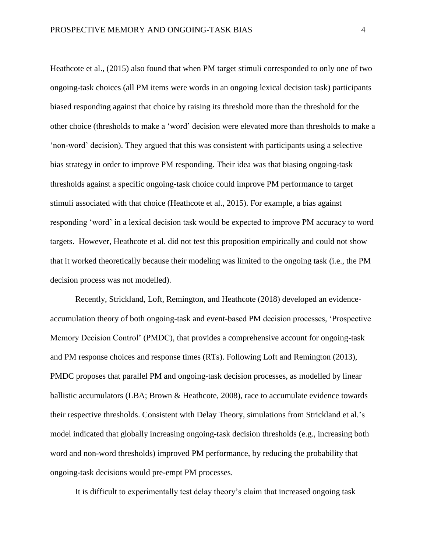Heathcote et al., (2015) also found that when PM target stimuli corresponded to only one of two ongoing-task choices (all PM items were words in an ongoing lexical decision task) participants biased responding against that choice by raising its threshold more than the threshold for the other choice (thresholds to make a 'word' decision were elevated more than thresholds to make a 'non-word' decision). They argued that this was consistent with participants using a selective bias strategy in order to improve PM responding. Their idea was that biasing ongoing-task thresholds against a specific ongoing-task choice could improve PM performance to target stimuli associated with that choice (Heathcote et al., 2015). For example, a bias against responding 'word' in a lexical decision task would be expected to improve PM accuracy to word targets. However, Heathcote et al. did not test this proposition empirically and could not show that it worked theoretically because their modeling was limited to the ongoing task (i.e., the PM decision process was not modelled).

Recently, Strickland, Loft, Remington, and Heathcote (2018) developed an evidenceaccumulation theory of both ongoing-task and event-based PM decision processes, 'Prospective Memory Decision Control' (PMDC), that provides a comprehensive account for ongoing-task and PM response choices and response times (RTs). Following Loft and Remington (2013), PMDC proposes that parallel PM and ongoing-task decision processes, as modelled by linear ballistic accumulators (LBA; Brown & Heathcote, 2008), race to accumulate evidence towards their respective thresholds. Consistent with Delay Theory, simulations from Strickland et al.'s model indicated that globally increasing ongoing-task decision thresholds (e.g., increasing both word and non-word thresholds) improved PM performance, by reducing the probability that ongoing-task decisions would pre-empt PM processes.

It is difficult to experimentally test delay theory's claim that increased ongoing task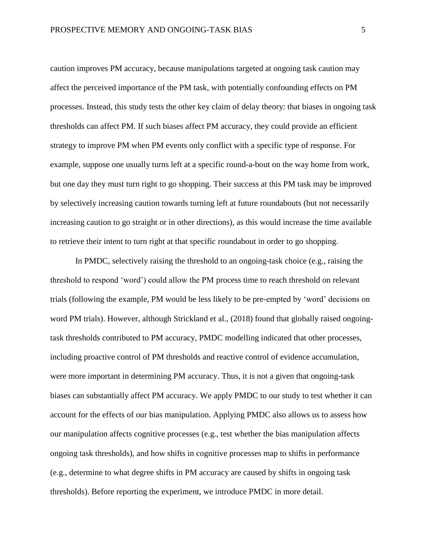caution improves PM accuracy, because manipulations targeted at ongoing task caution may affect the perceived importance of the PM task, with potentially confounding effects on PM processes. Instead, this study tests the other key claim of delay theory: that biases in ongoing task thresholds can affect PM. If such biases affect PM accuracy, they could provide an efficient strategy to improve PM when PM events only conflict with a specific type of response. For example, suppose one usually turns left at a specific round-a-bout on the way home from work, but one day they must turn right to go shopping. Their success at this PM task may be improved by selectively increasing caution towards turning left at future roundabouts (but not necessarily increasing caution to go straight or in other directions), as this would increase the time available to retrieve their intent to turn right at that specific roundabout in order to go shopping.

In PMDC, selectively raising the threshold to an ongoing-task choice (e.g., raising the threshold to respond 'word') could allow the PM process time to reach threshold on relevant trials (following the example, PM would be less likely to be pre-empted by 'word' decisions on word PM trials). However, although Strickland et al., (2018) found that globally raised ongoingtask thresholds contributed to PM accuracy, PMDC modelling indicated that other processes, including proactive control of PM thresholds and reactive control of evidence accumulation, were more important in determining PM accuracy. Thus, it is not a given that ongoing-task biases can substantially affect PM accuracy. We apply PMDC to our study to test whether it can account for the effects of our bias manipulation. Applying PMDC also allows us to assess how our manipulation affects cognitive processes (e.g., test whether the bias manipulation affects ongoing task thresholds), and how shifts in cognitive processes map to shifts in performance (e.g., determine to what degree shifts in PM accuracy are caused by shifts in ongoing task thresholds). Before reporting the experiment, we introduce PMDC in more detail.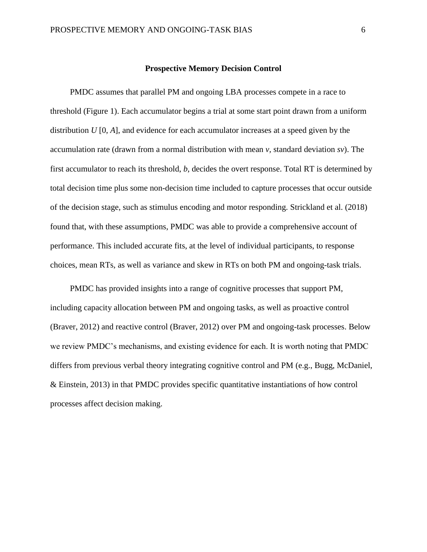### **Prospective Memory Decision Control**

PMDC assumes that parallel PM and ongoing LBA processes compete in a race to threshold (Figure 1). Each accumulator begins a trial at some start point drawn from a uniform distribution *U* [0, *A*], and evidence for each accumulator increases at a speed given by the accumulation rate (drawn from a normal distribution with mean *v,* standard deviation *sv*). The first accumulator to reach its threshold, *b*, decides the overt response. Total RT is determined by total decision time plus some non-decision time included to capture processes that occur outside of the decision stage, such as stimulus encoding and motor responding. Strickland et al. (2018) found that, with these assumptions, PMDC was able to provide a comprehensive account of performance. This included accurate fits, at the level of individual participants, to response choices, mean RTs, as well as variance and skew in RTs on both PM and ongoing-task trials.

PMDC has provided insights into a range of cognitive processes that support PM, including capacity allocation between PM and ongoing tasks, as well as proactive control (Braver, 2012) and reactive control (Braver, 2012) over PM and ongoing-task processes. Below we review PMDC's mechanisms, and existing evidence for each. It is worth noting that PMDC differs from previous verbal theory integrating cognitive control and PM (e.g., Bugg, McDaniel, & Einstein, 2013) in that PMDC provides specific quantitative instantiations of how control processes affect decision making.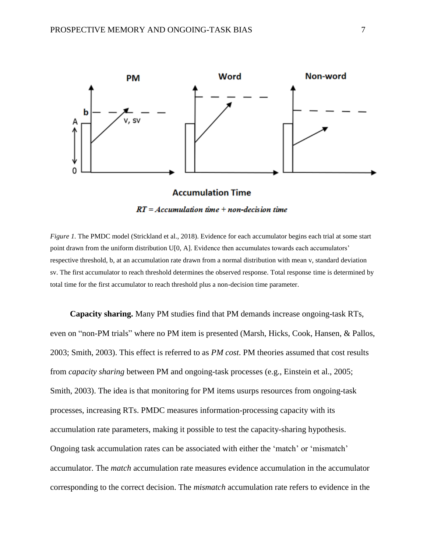

## $RT = Accumulation$  time + non-decision time

*Figure 1.* The PMDC model (Strickland et al., 2018). Evidence for each accumulator begins each trial at some start point drawn from the uniform distribution U[0, A]. Evidence then accumulates towards each accumulators' respective threshold, b, at an accumulation rate drawn from a normal distribution with mean v, standard deviation sv. The first accumulator to reach threshold determines the observed response. Total response time is determined by total time for the first accumulator to reach threshold plus a non-decision time parameter.

**Capacity sharing.** Many PM studies find that PM demands increase ongoing-task RTs, even on "non-PM trials" where no PM item is presented (Marsh, Hicks, Cook, Hansen, & Pallos, 2003; Smith, 2003). This effect is referred to as *PM cost*. PM theories assumed that cost results from *capacity sharing* between PM and ongoing-task processes (e.g., Einstein et al., 2005; Smith, 2003). The idea is that monitoring for PM items usurps resources from ongoing-task processes, increasing RTs. PMDC measures information-processing capacity with its accumulation rate parameters, making it possible to test the capacity-sharing hypothesis. Ongoing task accumulation rates can be associated with either the 'match' or 'mismatch' accumulator. The *match* accumulation rate measures evidence accumulation in the accumulator corresponding to the correct decision. The *mismatch* accumulation rate refers to evidence in the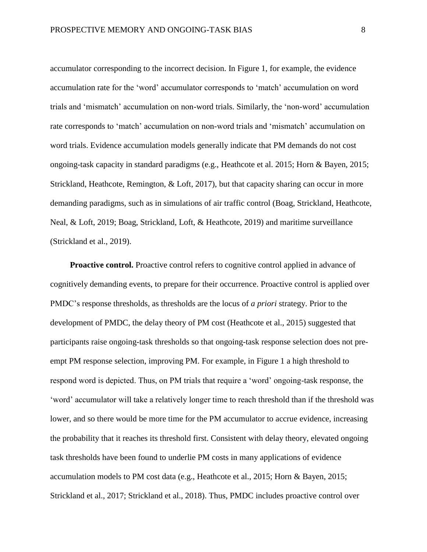accumulator corresponding to the incorrect decision. In Figure 1, for example, the evidence accumulation rate for the 'word' accumulator corresponds to 'match' accumulation on word trials and 'mismatch' accumulation on non-word trials. Similarly, the 'non-word' accumulation rate corresponds to 'match' accumulation on non-word trials and 'mismatch' accumulation on word trials. Evidence accumulation models generally indicate that PM demands do not cost ongoing-task capacity in standard paradigms (e.g., Heathcote et al. 2015; Horn & Bayen, 2015; Strickland, Heathcote, Remington, & Loft, 2017), but that capacity sharing can occur in more demanding paradigms, such as in simulations of air traffic control (Boag, Strickland, Heathcote, Neal, & Loft, 2019; Boag, Strickland, Loft, & Heathcote, 2019) and maritime surveillance (Strickland et al., 2019).

**Proactive control.** Proactive control refers to cognitive control applied in advance of cognitively demanding events, to prepare for their occurrence. Proactive control is applied over PMDC's response thresholds, as thresholds are the locus of *a priori* strategy. Prior to the development of PMDC, the delay theory of PM cost (Heathcote et al., 2015) suggested that participants raise ongoing-task thresholds so that ongoing-task response selection does not preempt PM response selection, improving PM. For example, in Figure 1 a high threshold to respond word is depicted. Thus, on PM trials that require a 'word' ongoing-task response, the 'word' accumulator will take a relatively longer time to reach threshold than if the threshold was lower, and so there would be more time for the PM accumulator to accrue evidence, increasing the probability that it reaches its threshold first. Consistent with delay theory, elevated ongoing task thresholds have been found to underlie PM costs in many applications of evidence accumulation models to PM cost data (e.g., Heathcote et al., 2015; Horn & Bayen, 2015; Strickland et al., 2017; Strickland et al., 2018). Thus, PMDC includes proactive control over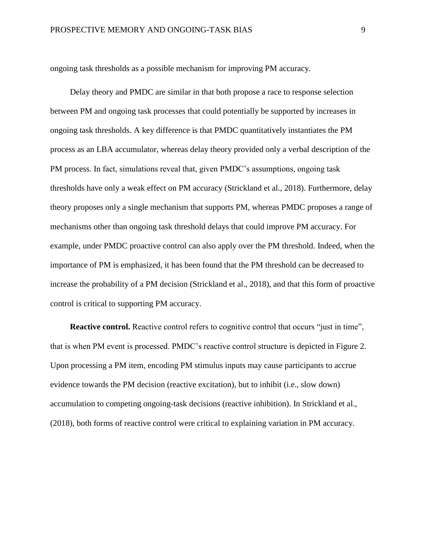ongoing task thresholds as a possible mechanism for improving PM accuracy.

Delay theory and PMDC are similar in that both propose a race to response selection between PM and ongoing task processes that could potentially be supported by increases in ongoing task thresholds. A key difference is that PMDC quantitatively instantiates the PM process as an LBA accumulator, whereas delay theory provided only a verbal description of the PM process. In fact, simulations reveal that, given PMDC's assumptions, ongoing task thresholds have only a weak effect on PM accuracy (Strickland et al., 2018). Furthermore, delay theory proposes only a single mechanism that supports PM, whereas PMDC proposes a range of mechanisms other than ongoing task threshold delays that could improve PM accuracy. For example, under PMDC proactive control can also apply over the PM threshold. Indeed, when the importance of PM is emphasized, it has been found that the PM threshold can be decreased to increase the probability of a PM decision (Strickland et al., 2018), and that this form of proactive control is critical to supporting PM accuracy.

**Reactive control.** Reactive control refers to cognitive control that occurs "just in time", that is when PM event is processed. PMDC's reactive control structure is depicted in Figure 2. Upon processing a PM item, encoding PM stimulus inputs may cause participants to accrue evidence towards the PM decision (reactive excitation), but to inhibit (i.e., slow down) accumulation to competing ongoing-task decisions (reactive inhibition). In Strickland et al., (2018), both forms of reactive control were critical to explaining variation in PM accuracy.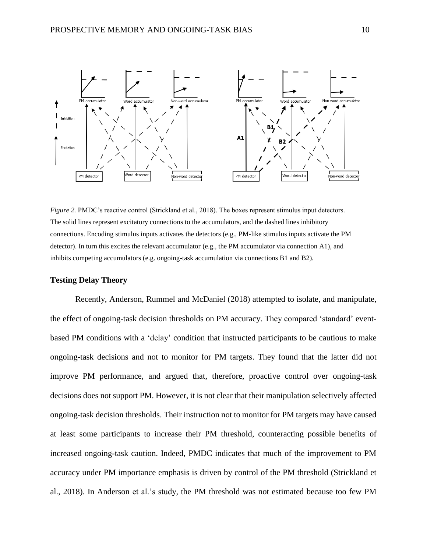

*Figure 2. PMDC*'s reactive control (Strickland et al., 2018). The boxes represent stimulus input detectors. The solid lines represent excitatory connections to the accumulators, and the dashed lines inhibitory connections. Encoding stimulus inputs activates the detectors (e.g., PM-like stimulus inputs activate the PM detector). In turn this excites the relevant accumulator (e.g., the PM accumulator via connection A1), and inhibits competing accumulators (e.g. ongoing-task accumulation via connections B1 and B2).

#### **Testing Delay Theory**

Recently, Anderson, Rummel and McDaniel (2018) attempted to isolate, and manipulate, the effect of ongoing-task decision thresholds on PM accuracy. They compared 'standard' eventbased PM conditions with a 'delay' condition that instructed participants to be cautious to make ongoing-task decisions and not to monitor for PM targets. They found that the latter did not improve PM performance, and argued that, therefore, proactive control over ongoing-task decisions does not support PM. However, it is not clear that their manipulation selectively affected ongoing-task decision thresholds. Their instruction not to monitor for PM targets may have caused at least some participants to increase their PM threshold, counteracting possible benefits of increased ongoing-task caution. Indeed, PMDC indicates that much of the improvement to PM accuracy under PM importance emphasis is driven by control of the PM threshold (Strickland et al., 2018). In Anderson et al.'s study, the PM threshold was not estimated because too few PM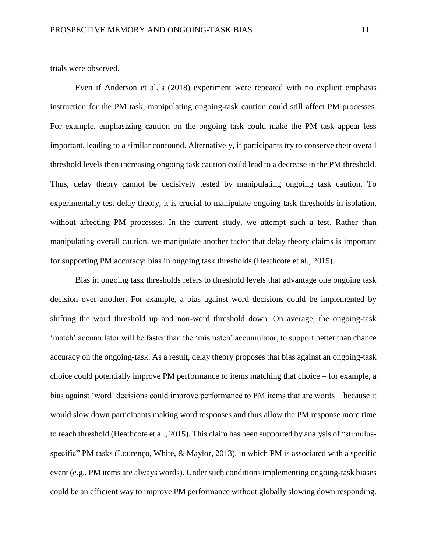trials were observed.

Even if Anderson et al.'s (2018) experiment were repeated with no explicit emphasis instruction for the PM task, manipulating ongoing-task caution could still affect PM processes. For example, emphasizing caution on the ongoing task could make the PM task appear less important, leading to a similar confound. Alternatively, if participants try to conserve their overall threshold levels then increasing ongoing task caution could lead to a decrease in the PM threshold. Thus, delay theory cannot be decisively tested by manipulating ongoing task caution. To experimentally test delay theory, it is crucial to manipulate ongoing task thresholds in isolation, without affecting PM processes. In the current study, we attempt such a test. Rather than manipulating overall caution, we manipulate another factor that delay theory claims is important for supporting PM accuracy: bias in ongoing task thresholds (Heathcote et al., 2015).

Bias in ongoing task thresholds refers to threshold levels that advantage one ongoing task decision over another. For example, a bias against word decisions could be implemented by shifting the word threshold up and non-word threshold down. On average, the ongoing-task 'match' accumulator will be faster than the 'mismatch' accumulator, to support better than chance accuracy on the ongoing-task. As a result, delay theory proposes that bias against an ongoing-task choice could potentially improve PM performance to items matching that choice – for example, a bias against 'word' decisions could improve performance to PM items that are words – because it would slow down participants making word responses and thus allow the PM response more time to reach threshold (Heathcote et al., 2015). This claim has been supported by analysis of "stimulusspecific" PM tasks (Lourenço, White, & Maylor, 2013), in which PM is associated with a specific event (e.g., PM items are always words). Under such conditions implementing ongoing-task biases could be an efficient way to improve PM performance without globally slowing down responding.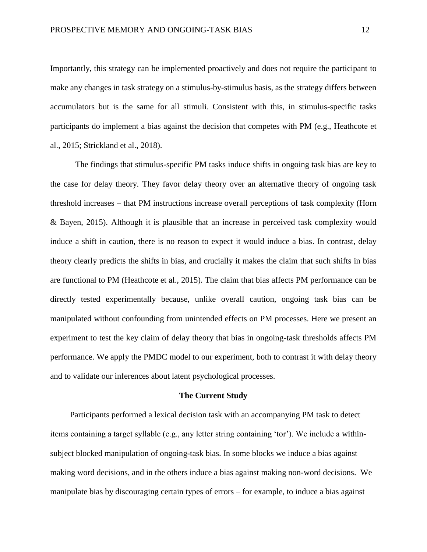Importantly, this strategy can be implemented proactively and does not require the participant to make any changes in task strategy on a stimulus-by-stimulus basis, as the strategy differs between accumulators but is the same for all stimuli. Consistent with this, in stimulus-specific tasks participants do implement a bias against the decision that competes with PM (e.g., Heathcote et al., 2015; Strickland et al., 2018).

The findings that stimulus-specific PM tasks induce shifts in ongoing task bias are key to the case for delay theory. They favor delay theory over an alternative theory of ongoing task threshold increases – that PM instructions increase overall perceptions of task complexity (Horn & Bayen, 2015). Although it is plausible that an increase in perceived task complexity would induce a shift in caution, there is no reason to expect it would induce a bias. In contrast, delay theory clearly predicts the shifts in bias, and crucially it makes the claim that such shifts in bias are functional to PM (Heathcote et al., 2015). The claim that bias affects PM performance can be directly tested experimentally because, unlike overall caution, ongoing task bias can be manipulated without confounding from unintended effects on PM processes. Here we present an experiment to test the key claim of delay theory that bias in ongoing-task thresholds affects PM performance. We apply the PMDC model to our experiment, both to contrast it with delay theory and to validate our inferences about latent psychological processes.

#### **The Current Study**

Participants performed a lexical decision task with an accompanying PM task to detect items containing a target syllable (e.g., any letter string containing 'tor'). We include a withinsubject blocked manipulation of ongoing-task bias. In some blocks we induce a bias against making word decisions, and in the others induce a bias against making non-word decisions. We manipulate bias by discouraging certain types of errors – for example, to induce a bias against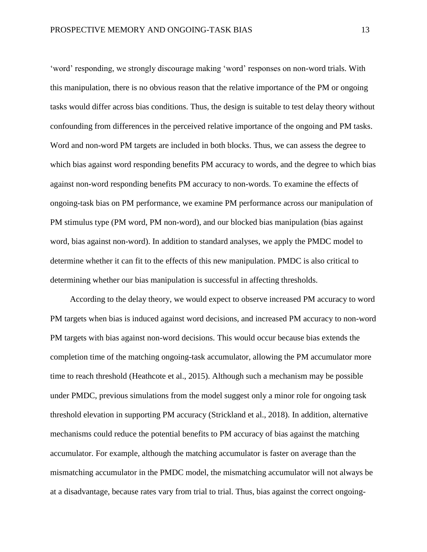'word' responding, we strongly discourage making 'word' responses on non-word trials. With this manipulation, there is no obvious reason that the relative importance of the PM or ongoing tasks would differ across bias conditions. Thus, the design is suitable to test delay theory without confounding from differences in the perceived relative importance of the ongoing and PM tasks. Word and non-word PM targets are included in both blocks. Thus, we can assess the degree to which bias against word responding benefits PM accuracy to words, and the degree to which bias against non-word responding benefits PM accuracy to non-words. To examine the effects of ongoing-task bias on PM performance, we examine PM performance across our manipulation of PM stimulus type (PM word, PM non-word), and our blocked bias manipulation (bias against word, bias against non-word). In addition to standard analyses, we apply the PMDC model to determine whether it can fit to the effects of this new manipulation. PMDC is also critical to determining whether our bias manipulation is successful in affecting thresholds.

According to the delay theory, we would expect to observe increased PM accuracy to word PM targets when bias is induced against word decisions, and increased PM accuracy to non-word PM targets with bias against non-word decisions. This would occur because bias extends the completion time of the matching ongoing-task accumulator, allowing the PM accumulator more time to reach threshold (Heathcote et al., 2015). Although such a mechanism may be possible under PMDC, previous simulations from the model suggest only a minor role for ongoing task threshold elevation in supporting PM accuracy (Strickland et al., 2018). In addition, alternative mechanisms could reduce the potential benefits to PM accuracy of bias against the matching accumulator. For example, although the matching accumulator is faster on average than the mismatching accumulator in the PMDC model, the mismatching accumulator will not always be at a disadvantage, because rates vary from trial to trial. Thus, bias against the correct ongoing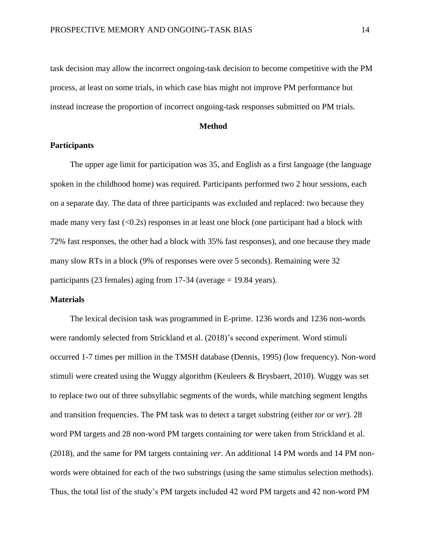task decision may allow the incorrect ongoing-task decision to become competitive with the PM process, at least on some trials, in which case bias might not improve PM performance but instead increase the proportion of incorrect ongoing-task responses submitted on PM trials.

#### **Method**

#### **Participants**

The upper age limit for participation was 35, and English as a first language (the language spoken in the childhood home) was required. Participants performed two 2 hour sessions, each on a separate day. The data of three participants was excluded and replaced: two because they made many very fast  $( $0.2$ s) responses in at least one block (one participant had a block with$ 72% fast responses, the other had a block with 35% fast responses), and one because they made many slow RTs in a block (9% of responses were over 5 seconds). Remaining were 32 participants (23 females) aging from 17-34 (average = 19.84 years).

#### **Materials**

The lexical decision task was programmed in E-prime. 1236 words and 1236 non-words were randomly selected from Strickland et al. (2018)'s second experiment. Word stimuli occurred 1-7 times per million in the TMSH database (Dennis, 1995) (low frequency). Non-word stimuli were created using the Wuggy algorithm (Keuleers & Brysbaert, 2010). Wuggy was set to replace two out of three subsyllabic segments of the words, while matching segment lengths and transition frequencies. The PM task was to detect a target substring (either *tor* or *ver*). 28 word PM targets and 28 non-word PM targets containing *tor* were taken from Strickland et al. (2018), and the same for PM targets containing *ver*. An additional 14 PM words and 14 PM nonwords were obtained for each of the two substrings (using the same stimulus selection methods). Thus, the total list of the study's PM targets included 42 word PM targets and 42 non-word PM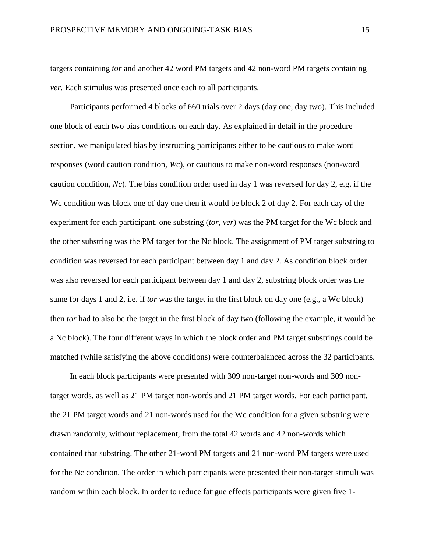targets containing *tor* and another 42 word PM targets and 42 non-word PM targets containing *ver.* Each stimulus was presented once each to all participants.

Participants performed 4 blocks of 660 trials over 2 days (day one, day two). This included one block of each two bias conditions on each day. As explained in detail in the procedure section, we manipulated bias by instructing participants either to be cautious to make word responses (word caution condition, *Wc*), or cautious to make non-word responses (non-word caution condition, *Nc*). The bias condition order used in day 1 was reversed for day 2, e.g. if the Wc condition was block one of day one then it would be block 2 of day 2. For each day of the experiment for each participant, one substring (*tor, ver*) was the PM target for the Wc block and the other substring was the PM target for the Nc block. The assignment of PM target substring to condition was reversed for each participant between day 1 and day 2. As condition block order was also reversed for each participant between day 1 and day 2, substring block order was the same for days 1 and 2, i.e. if *tor* was the target in the first block on day one (e.g., a Wc block) then *tor* had to also be the target in the first block of day two (following the example, it would be a Nc block). The four different ways in which the block order and PM target substrings could be matched (while satisfying the above conditions) were counterbalanced across the 32 participants.

In each block participants were presented with 309 non-target non-words and 309 nontarget words, as well as 21 PM target non-words and 21 PM target words. For each participant, the 21 PM target words and 21 non-words used for the Wc condition for a given substring were drawn randomly, without replacement, from the total 42 words and 42 non-words which contained that substring. The other 21-word PM targets and 21 non-word PM targets were used for the Nc condition. The order in which participants were presented their non-target stimuli was random within each block. In order to reduce fatigue effects participants were given five 1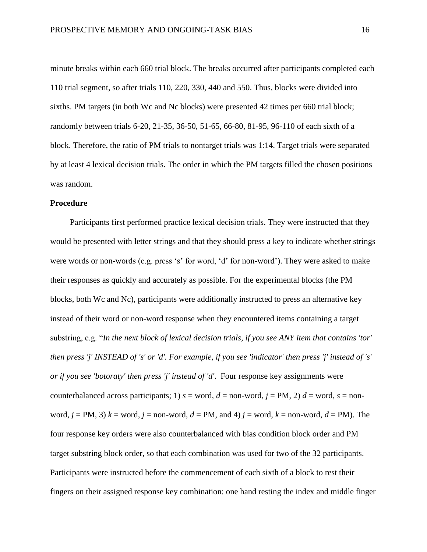minute breaks within each 660 trial block. The breaks occurred after participants completed each 110 trial segment, so after trials 110, 220, 330, 440 and 550. Thus, blocks were divided into sixths. PM targets (in both Wc and Nc blocks) were presented 42 times per 660 trial block; randomly between trials 6-20, 21-35, 36-50, 51-65, 66-80, 81-95, 96-110 of each sixth of a block. Therefore, the ratio of PM trials to nontarget trials was 1:14. Target trials were separated by at least 4 lexical decision trials. The order in which the PM targets filled the chosen positions was random.

#### **Procedure**

Participants first performed practice lexical decision trials. They were instructed that they would be presented with letter strings and that they should press a key to indicate whether strings were words or non-words (e.g. press 's' for word, 'd' for non-word'). They were asked to make their responses as quickly and accurately as possible. For the experimental blocks (the PM blocks, both Wc and Nc), participants were additionally instructed to press an alternative key instead of their word or non-word response when they encountered items containing a target substring, e.g. "*In the next block of lexical decision trials, if you see ANY item that contains 'tor' then press 'j' INSTEAD of 's' or 'd'. For example, if you see 'indicator' then press 'j' instead of 's' or if you see 'botoraty' then press 'j' instead of 'd'*. Four response key assignments were counterbalanced across participants; 1)  $s = word$ ,  $d = non-word$ ,  $j = PM$ , 2)  $d = word$ ,  $s = non$ word,  $j = PM$ , 3)  $k = word$ ,  $j = non-word$ ,  $d = PM$ , and 4)  $j = word$ ,  $k = non-word$ ,  $d = PM$ . The four response key orders were also counterbalanced with bias condition block order and PM target substring block order, so that each combination was used for two of the 32 participants. Participants were instructed before the commencement of each sixth of a block to rest their fingers on their assigned response key combination: one hand resting the index and middle finger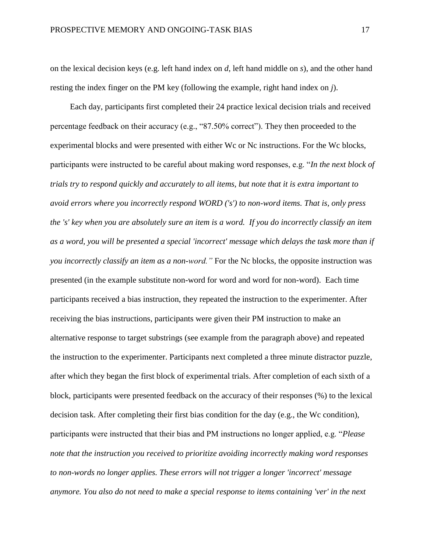on the lexical decision keys (e.g. left hand index on *d*, left hand middle on *s*), and the other hand resting the index finger on the PM key (following the example, right hand index on *j*).

Each day, participants first completed their 24 practice lexical decision trials and received percentage feedback on their accuracy (e.g., "87.50% correct"). They then proceeded to the experimental blocks and were presented with either Wc or Nc instructions. For the Wc blocks, participants were instructed to be careful about making word responses, e.g. "*In the next block of trials try to respond quickly and accurately to all items, but note that it is extra important to avoid errors where you incorrectly respond WORD ('s') to non-word items. That is, only press the 's' key when you are absolutely sure an item is a word. If you do incorrectly classify an item as a word, you will be presented a special 'incorrect' message which delays the task more than if you incorrectly classify an item as a non-word."* For the Nc blocks, the opposite instruction was presented (in the example substitute non-word for word and word for non-word). Each time participants received a bias instruction, they repeated the instruction to the experimenter. After receiving the bias instructions, participants were given their PM instruction to make an alternative response to target substrings (see example from the paragraph above) and repeated the instruction to the experimenter. Participants next completed a three minute distractor puzzle, after which they began the first block of experimental trials. After completion of each sixth of a block, participants were presented feedback on the accuracy of their responses (%) to the lexical decision task. After completing their first bias condition for the day (e.g., the Wc condition), participants were instructed that their bias and PM instructions no longer applied, e.g. "*Please note that the instruction you received to prioritize avoiding incorrectly making word responses to non-words no longer applies. These errors will not trigger a longer 'incorrect' message anymore. You also do not need to make a special response to items containing 'ver' in the next*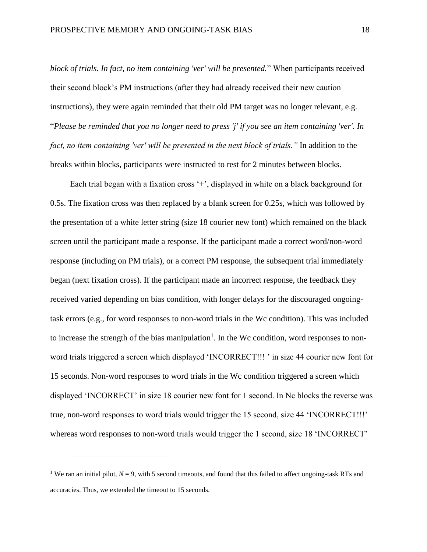*block of trials. In fact, no item containing 'ver' will be presented.*" When participants received their second block's PM instructions (after they had already received their new caution instructions), they were again reminded that their old PM target was no longer relevant, e.g. "*Please be reminded that you no longer need to press 'j' if you see an item containing 'ver'. In fact, no item containing 'ver' will be presented in the next block of trials."* In addition to the breaks within blocks, participants were instructed to rest for 2 minutes between blocks.

Each trial began with a fixation cross  $+$ , displayed in white on a black background for 0.5s. The fixation cross was then replaced by a blank screen for 0.25s, which was followed by the presentation of a white letter string (size 18 courier new font) which remained on the black screen until the participant made a response. If the participant made a correct word/non-word response (including on PM trials), or a correct PM response, the subsequent trial immediately began (next fixation cross). If the participant made an incorrect response, the feedback they received varied depending on bias condition, with longer delays for the discouraged ongoingtask errors (e.g., for word responses to non-word trials in the Wc condition). This was included to increase the strength of the bias manipulation<sup>1</sup>. In the Wc condition, word responses to nonword trials triggered a screen which displayed 'INCORRECT!!! ' in size 44 courier new font for 15 seconds. Non-word responses to word trials in the Wc condition triggered a screen which displayed 'INCORRECT' in size 18 courier new font for 1 second. In Nc blocks the reverse was true, non-word responses to word trials would trigger the 15 second, size 44 'INCORRECT!!!' whereas word responses to non-word trials would trigger the 1 second, size 18 'INCORRECT'

 $\overline{a}$ 

<sup>&</sup>lt;sup>1</sup> We ran an initial pilot,  $N = 9$ , with 5 second timeouts, and found that this failed to affect ongoing-task RTs and accuracies. Thus, we extended the timeout to 15 seconds.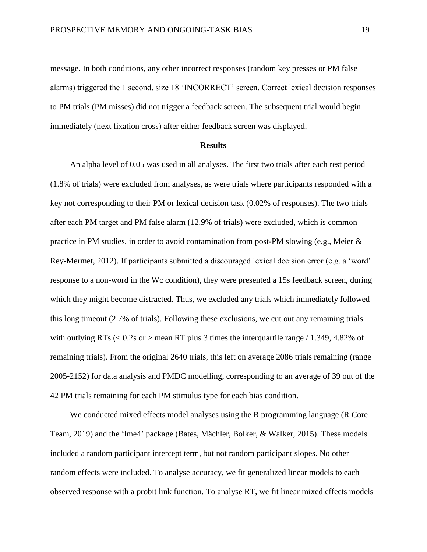message. In both conditions, any other incorrect responses (random key presses or PM false alarms) triggered the 1 second, size 18 'INCORRECT' screen. Correct lexical decision responses to PM trials (PM misses) did not trigger a feedback screen. The subsequent trial would begin immediately (next fixation cross) after either feedback screen was displayed.

#### **Results**

An alpha level of 0.05 was used in all analyses. The first two trials after each rest period (1.8% of trials) were excluded from analyses, as were trials where participants responded with a key not corresponding to their PM or lexical decision task (0.02% of responses). The two trials after each PM target and PM false alarm (12.9% of trials) were excluded, which is common practice in PM studies, in order to avoid contamination from post-PM slowing (e.g., Meier & Rey-Mermet, 2012). If participants submitted a discouraged lexical decision error (e.g. a 'word' response to a non-word in the Wc condition), they were presented a 15s feedback screen, during which they might become distracted. Thus, we excluded any trials which immediately followed this long timeout (2.7% of trials). Following these exclusions, we cut out any remaining trials with outlying RTs  $\langle 0.2$ s or  $>$  mean RT plus 3 times the interquartile range  $/1.349, 4.82\%$  of remaining trials). From the original 2640 trials, this left on average 2086 trials remaining (range 2005-2152) for data analysis and PMDC modelling, corresponding to an average of 39 out of the 42 PM trials remaining for each PM stimulus type for each bias condition.

We conducted mixed effects model analyses using the R programming language (R Core Team, 2019) and the 'lme4' package (Bates, Mächler, Bolker, & Walker, 2015). These models included a random participant intercept term, but not random participant slopes. No other random effects were included. To analyse accuracy, we fit generalized linear models to each observed response with a probit link function. To analyse RT, we fit linear mixed effects models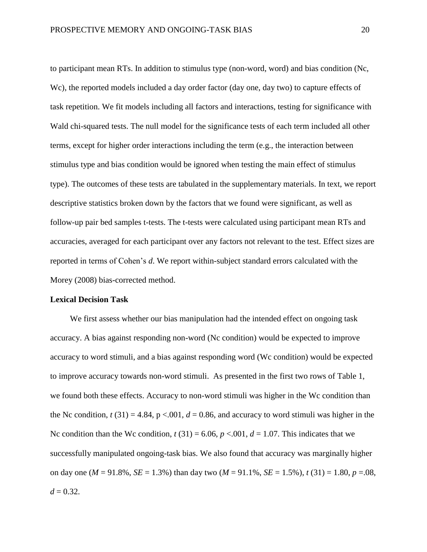to participant mean RTs. In addition to stimulus type (non-word, word) and bias condition (Nc, Wc), the reported models included a day order factor (day one, day two) to capture effects of task repetition. We fit models including all factors and interactions, testing for significance with Wald chi-squared tests. The null model for the significance tests of each term included all other terms, except for higher order interactions including the term (e.g., the interaction between stimulus type and bias condition would be ignored when testing the main effect of stimulus type). The outcomes of these tests are tabulated in the supplementary materials. In text, we report descriptive statistics broken down by the factors that we found were significant, as well as follow-up pair bed samples t-tests. The t-tests were calculated using participant mean RTs and accuracies, averaged for each participant over any factors not relevant to the test. Effect sizes are reported in terms of Cohen's *d*. We report within-subject standard errors calculated with the Morey (2008) bias-corrected method.

#### **Lexical Decision Task**

We first assess whether our bias manipulation had the intended effect on ongoing task accuracy. A bias against responding non-word (Nc condition) would be expected to improve accuracy to word stimuli, and a bias against responding word (Wc condition) would be expected to improve accuracy towards non-word stimuli. As presented in the first two rows of Table 1, we found both these effects. Accuracy to non-word stimuli was higher in the Wc condition than the Nc condition,  $t(31) = 4.84$ ,  $p < .001$ ,  $d = 0.86$ , and accuracy to word stimuli was higher in the Nc condition than the Wc condition,  $t(31) = 6.06$ ,  $p < 0.01$ ,  $d = 1.07$ . This indicates that we successfully manipulated ongoing-task bias. We also found that accuracy was marginally higher on day one ( $M = 91.8\%$ ,  $SE = 1.3\%$ ) than day two ( $M = 91.1\%$ ,  $SE = 1.5\%$ ),  $t(31) = 1.80$ ,  $p = .08$ ,  $d = 0.32$ .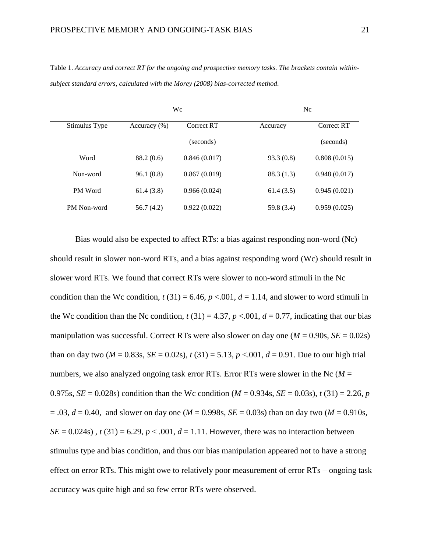|                | Wc               |              | Nc         |              |
|----------------|------------------|--------------|------------|--------------|
| Stimulus Type  | Accuracy $(\% )$ | Correct RT   | Accuracy   | Correct RT   |
|                |                  | (seconds)    |            | (seconds)    |
| Word           | 88.2 (0.6)       | 0.846(0.017) | 93.3(0.8)  | 0.808(0.015) |
| Non-word       | 96.1(0.8)        | 0.867(0.019) | 88.3(1.3)  | 0.948(0.017) |
| <b>PM</b> Word | 61.4(3.8)        | 0.966(0.024) | 61.4(3.5)  | 0.945(0.021) |
| PM Non-word    | 56.7(4.2)        | 0.922(0.022) | 59.8 (3.4) | 0.959(0.025) |

Table 1. Accuracy and correct RT for the ongoing and prospective memory tasks. The brackets contain within*subject standard errors, calculated with the Morey (2008) bias-corrected method.*

Bias would also be expected to affect RTs: a bias against responding non-word (Nc) should result in slower non-word RTs, and a bias against responding word (Wc) should result in slower word RTs. We found that correct RTs were slower to non-word stimuli in the Nc condition than the Wc condition,  $t(31) = 6.46$ ,  $p < .001$ ,  $d = 1.14$ , and slower to word stimuli in the Wc condition than the Nc condition,  $t(31) = 4.37$ ,  $p < .001$ ,  $d = 0.77$ , indicating that our bias manipulation was successful. Correct RTs were also slower on day one  $(M = 0.90s, SE = 0.02s)$ than on day two  $(M = 0.83s, SE = 0.02s)$ ,  $t(31) = 5.13$ ,  $p < .001$ ,  $d = 0.91$ . Due to our high trial numbers, we also analyzed ongoing task error RTs. Error RTs were slower in the Nc (*M* = 0.975s,  $SE = 0.028$ s) condition than the Wc condition ( $M = 0.934$ s,  $SE = 0.03$ s),  $t(31) = 2.26$ , *p*  $= .03$ ,  $d = 0.40$ , and slower on day one ( $M = 0.998$ s,  $SE = 0.03$ s) than on day two ( $M = 0.910$ s, *SE* = 0.024s),  $t(31) = 6.29, p < .001, d = 1.11$ . However, there was no interaction between stimulus type and bias condition, and thus our bias manipulation appeared not to have a strong effect on error RTs. This might owe to relatively poor measurement of error RTs – ongoing task accuracy was quite high and so few error RTs were observed.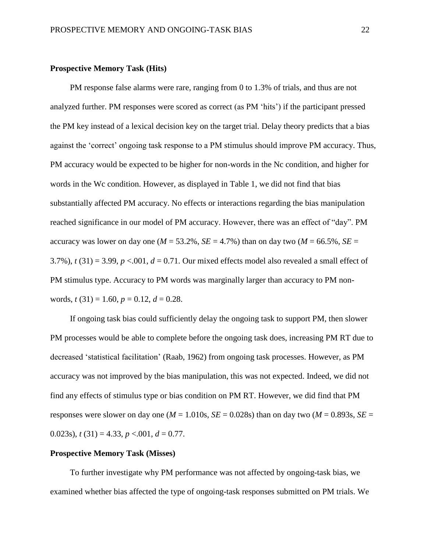#### **Prospective Memory Task (Hits)**

PM response false alarms were rare, ranging from 0 to 1.3% of trials, and thus are not analyzed further. PM responses were scored as correct (as PM 'hits') if the participant pressed the PM key instead of a lexical decision key on the target trial. Delay theory predicts that a bias against the 'correct' ongoing task response to a PM stimulus should improve PM accuracy. Thus, PM accuracy would be expected to be higher for non-words in the Nc condition, and higher for words in the Wc condition. However, as displayed in Table 1, we did not find that bias substantially affected PM accuracy. No effects or interactions regarding the bias manipulation reached significance in our model of PM accuracy. However, there was an effect of "day". PM accuracy was lower on day one ( $M = 53.2\%$ ,  $SE = 4.7\%$ ) than on day two ( $M = 66.5\%$ ,  $SE =$ 3.7%),  $t(31) = 3.99$ ,  $p < .001$ ,  $d = 0.71$ . Our mixed effects model also revealed a small effect of PM stimulus type. Accuracy to PM words was marginally larger than accuracy to PM nonwords,  $t(31) = 1.60$ ,  $p = 0.12$ ,  $d = 0.28$ .

If ongoing task bias could sufficiently delay the ongoing task to support PM, then slower PM processes would be able to complete before the ongoing task does, increasing PM RT due to decreased 'statistical facilitation' (Raab, 1962) from ongoing task processes. However, as PM accuracy was not improved by the bias manipulation, this was not expected. Indeed, we did not find any effects of stimulus type or bias condition on PM RT. However, we did find that PM responses were slower on day one ( $M = 1.010$ s,  $SE = 0.028$ s) than on day two ( $M = 0.893$ s,  $SE =$ 0.023s),  $t(31) = 4.33$ ,  $p < .001$ ,  $d = 0.77$ .

#### **Prospective Memory Task (Misses)**

To further investigate why PM performance was not affected by ongoing-task bias, we examined whether bias affected the type of ongoing-task responses submitted on PM trials. We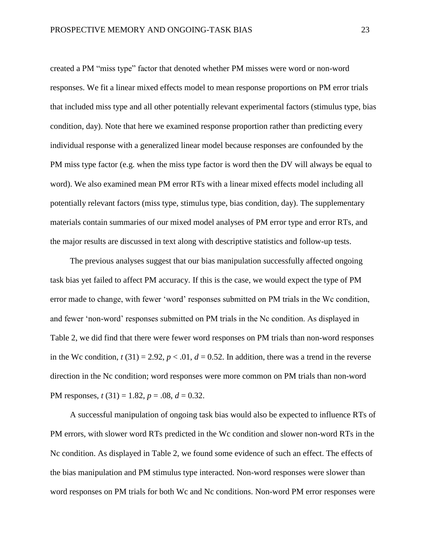created a PM "miss type" factor that denoted whether PM misses were word or non-word responses. We fit a linear mixed effects model to mean response proportions on PM error trials that included miss type and all other potentially relevant experimental factors (stimulus type, bias condition, day). Note that here we examined response proportion rather than predicting every individual response with a generalized linear model because responses are confounded by the PM miss type factor (e.g. when the miss type factor is word then the DV will always be equal to word). We also examined mean PM error RTs with a linear mixed effects model including all potentially relevant factors (miss type, stimulus type, bias condition, day). The supplementary materials contain summaries of our mixed model analyses of PM error type and error RTs, and the major results are discussed in text along with descriptive statistics and follow-up tests.

The previous analyses suggest that our bias manipulation successfully affected ongoing task bias yet failed to affect PM accuracy. If this is the case, we would expect the type of PM error made to change, with fewer 'word' responses submitted on PM trials in the Wc condition, and fewer 'non-word' responses submitted on PM trials in the Nc condition. As displayed in Table 2, we did find that there were fewer word responses on PM trials than non-word responses in the Wc condition,  $t(31) = 2.92$ ,  $p < .01$ ,  $d = 0.52$ . In addition, there was a trend in the reverse direction in the Nc condition; word responses were more common on PM trials than non-word PM responses, *t* (31) = 1.82, *p* = .08, *d* = 0.32.

A successful manipulation of ongoing task bias would also be expected to influence RTs of PM errors, with slower word RTs predicted in the Wc condition and slower non-word RTs in the Nc condition. As displayed in Table 2, we found some evidence of such an effect. The effects of the bias manipulation and PM stimulus type interacted. Non-word responses were slower than word responses on PM trials for both Wc and Nc conditions. Non-word PM error responses were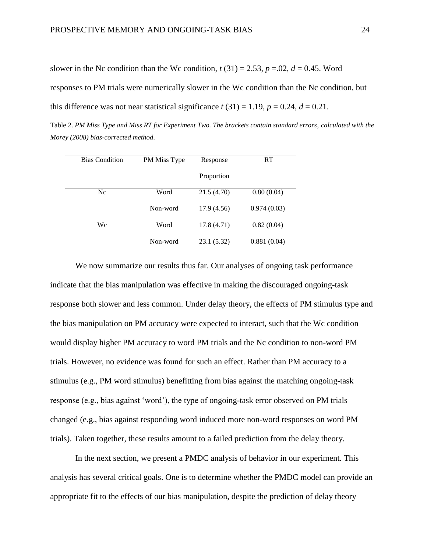slower in the Nc condition than the Wc condition,  $t(31) = 2.53$ ,  $p = .02$ ,  $d = 0.45$ . Word responses to PM trials were numerically slower in the Wc condition than the Nc condition, but

this difference was not near statistical significance  $t(31) = 1.19$ ,  $p = 0.24$ ,  $d = 0.21$ .

Table 2. *PM Miss Type and Miss RT for Experiment Two. The brackets contain standard errors, calculated with the Morey (2008) bias-corrected method.* 

| <b>Bias Condition</b> | PM Miss Type | Response    | RT          |
|-----------------------|--------------|-------------|-------------|
|                       |              | Proportion  |             |
| N <sub>c</sub>        | Word         | 21.5 (4.70) | 0.80(0.04)  |
|                       | Non-word     | 17.9(4.56)  | 0.974(0.03) |
| Wc                    | Word         | 17.8(4.71)  | 0.82(0.04)  |
|                       | Non-word     | 23.1 (5.32) | 0.881(0.04) |

We now summarize our results thus far. Our analyses of ongoing task performance indicate that the bias manipulation was effective in making the discouraged ongoing-task response both slower and less common. Under delay theory, the effects of PM stimulus type and the bias manipulation on PM accuracy were expected to interact, such that the Wc condition would display higher PM accuracy to word PM trials and the Nc condition to non-word PM trials. However, no evidence was found for such an effect. Rather than PM accuracy to a stimulus (e.g., PM word stimulus) benefitting from bias against the matching ongoing-task response (e.g., bias against 'word'), the type of ongoing-task error observed on PM trials changed (e.g., bias against responding word induced more non-word responses on word PM trials). Taken together, these results amount to a failed prediction from the delay theory.

In the next section, we present a PMDC analysis of behavior in our experiment. This analysis has several critical goals. One is to determine whether the PMDC model can provide an appropriate fit to the effects of our bias manipulation, despite the prediction of delay theory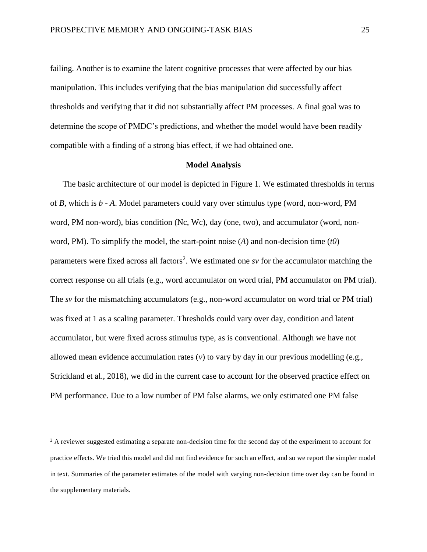failing. Another is to examine the latent cognitive processes that were affected by our bias manipulation. This includes verifying that the bias manipulation did successfully affect thresholds and verifying that it did not substantially affect PM processes. A final goal was to determine the scope of PMDC's predictions, and whether the model would have been readily compatible with a finding of a strong bias effect, if we had obtained one.

#### **Model Analysis**

The basic architecture of our model is depicted in Figure 1. We estimated thresholds in terms of *B*, which is *b* - *A*. Model parameters could vary over stimulus type (word, non-word, PM word, PM non-word), bias condition (Nc, Wc), day (one, two), and accumulator (word, nonword, PM). To simplify the model, the start-point noise (*A*) and non-decision time (*t0*) parameters were fixed across all factors<sup>2</sup>. We estimated one *sv* for the accumulator matching the correct response on all trials (e.g., word accumulator on word trial, PM accumulator on PM trial). The *sv* for the mismatching accumulators (e.g., non-word accumulator on word trial or PM trial) was fixed at 1 as a scaling parameter. Thresholds could vary over day, condition and latent accumulator, but were fixed across stimulus type, as is conventional. Although we have not allowed mean evidence accumulation rates (*v*) to vary by day in our previous modelling (e.g., Strickland et al., 2018), we did in the current case to account for the observed practice effect on PM performance. Due to a low number of PM false alarms, we only estimated one PM false

 $\overline{a}$ 

<sup>&</sup>lt;sup>2</sup> A reviewer suggested estimating a separate non-decision time for the second day of the experiment to account for practice effects. We tried this model and did not find evidence for such an effect, and so we report the simpler model in text. Summaries of the parameter estimates of the model with varying non-decision time over day can be found in the supplementary materials.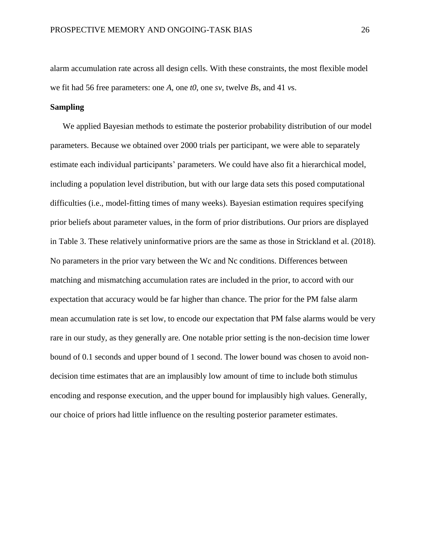alarm accumulation rate across all design cells. With these constraints, the most flexible model we fit had 56 free parameters: one *A*, one *t0*, one *sv*, twelve *B*s, and 41 *v*s.

#### **Sampling**

We applied Bayesian methods to estimate the posterior probability distribution of our model parameters. Because we obtained over 2000 trials per participant, we were able to separately estimate each individual participants' parameters. We could have also fit a hierarchical model, including a population level distribution, but with our large data sets this posed computational difficulties (i.e., model-fitting times of many weeks). Bayesian estimation requires specifying prior beliefs about parameter values, in the form of prior distributions. Our priors are displayed in Table 3. These relatively uninformative priors are the same as those in Strickland et al. (2018). No parameters in the prior vary between the Wc and Nc conditions. Differences between matching and mismatching accumulation rates are included in the prior, to accord with our expectation that accuracy would be far higher than chance. The prior for the PM false alarm mean accumulation rate is set low, to encode our expectation that PM false alarms would be very rare in our study, as they generally are. One notable prior setting is the non-decision time lower bound of 0.1 seconds and upper bound of 1 second. The lower bound was chosen to avoid nondecision time estimates that are an implausibly low amount of time to include both stimulus encoding and response execution, and the upper bound for implausibly high values. Generally, our choice of priors had little influence on the resulting posterior parameter estimates.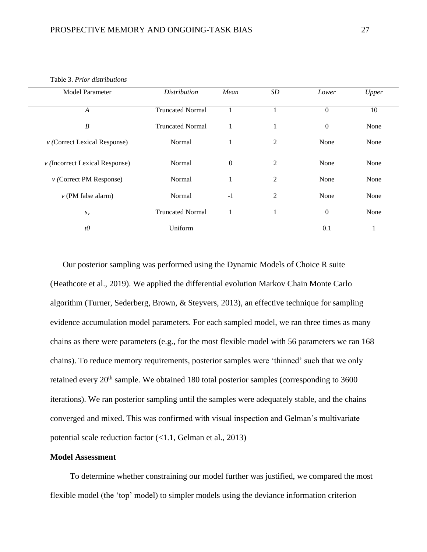#### Table 3. *Prior distributions*

| <b>Model Parameter</b>             | <b>Distribution</b>     | Mean           | SD             | Lower            | Upper        |
|------------------------------------|-------------------------|----------------|----------------|------------------|--------------|
| $\boldsymbol{A}$                   | <b>Truncated Normal</b> |                |                | $\overline{0}$   | 10           |
| $\boldsymbol{B}$                   | <b>Truncated Normal</b> | 1              | 1              | $\boldsymbol{0}$ | None         |
| $\nu$ (Correct Lexical Response)   | Normal                  | 1              | $\overline{c}$ | None             | None         |
| $\nu$ (Incorrect Lexical Response) | Normal                  | $\overline{0}$ | $\overline{c}$ | None             | None         |
| $\nu$ (Correct PM Response)        | Normal                  | -1             | $\overline{c}$ | None             | None         |
| $\nu$ (PM false alarm)             | Normal                  | $-1$           | 2              | None             | None         |
| $S_{\rm V}$                        | <b>Truncated Normal</b> | л.             | 1              | $\boldsymbol{0}$ | None         |
| $t\theta$                          | Uniform                 |                |                | 0.1              | $\mathbf{r}$ |
|                                    |                         |                |                |                  |              |

Our posterior sampling was performed using the Dynamic Models of Choice R suite (Heathcote et al., 2019). We applied the differential evolution Markov Chain Monte Carlo algorithm (Turner, Sederberg, Brown, & Steyvers, 2013), an effective technique for sampling evidence accumulation model parameters. For each sampled model, we ran three times as many chains as there were parameters (e.g., for the most flexible model with 56 parameters we ran 168 chains). To reduce memory requirements, posterior samples were 'thinned' such that we only retained every  $20<sup>th</sup>$  sample. We obtained 180 total posterior samples (corresponding to 3600) iterations). We ran posterior sampling until the samples were adequately stable, and the chains converged and mixed. This was confirmed with visual inspection and Gelman's multivariate potential scale reduction factor (<1.1, Gelman et al., 2013)

#### **Model Assessment**

To determine whether constraining our model further was justified, we compared the most flexible model (the 'top' model) to simpler models using the deviance information criterion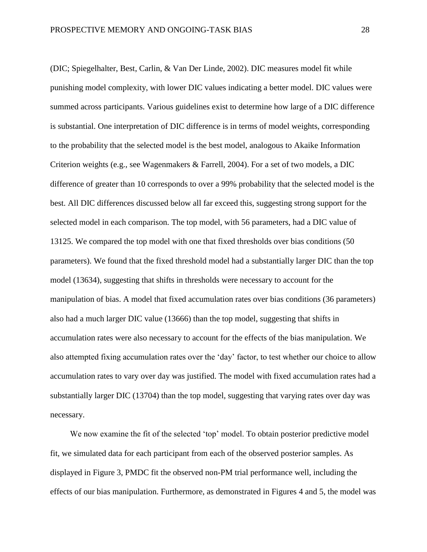(DIC; Spiegelhalter, Best, Carlin, & Van Der Linde, 2002). DIC measures model fit while punishing model complexity, with lower DIC values indicating a better model. DIC values were summed across participants. Various guidelines exist to determine how large of a DIC difference is substantial. One interpretation of DIC difference is in terms of model weights, corresponding to the probability that the selected model is the best model, analogous to Akaike Information Criterion weights (e.g., see Wagenmakers & Farrell, 2004). For a set of two models, a DIC difference of greater than 10 corresponds to over a 99% probability that the selected model is the best. All DIC differences discussed below all far exceed this, suggesting strong support for the selected model in each comparison. The top model, with 56 parameters, had a DIC value of 13125. We compared the top model with one that fixed thresholds over bias conditions (50 parameters). We found that the fixed threshold model had a substantially larger DIC than the top model (13634), suggesting that shifts in thresholds were necessary to account for the manipulation of bias. A model that fixed accumulation rates over bias conditions (36 parameters) also had a much larger DIC value (13666) than the top model, suggesting that shifts in accumulation rates were also necessary to account for the effects of the bias manipulation. We also attempted fixing accumulation rates over the 'day' factor, to test whether our choice to allow accumulation rates to vary over day was justified. The model with fixed accumulation rates had a substantially larger DIC (13704) than the top model, suggesting that varying rates over day was necessary.

We now examine the fit of the selected 'top' model. To obtain posterior predictive model fit, we simulated data for each participant from each of the observed posterior samples. As displayed in Figure 3, PMDC fit the observed non-PM trial performance well, including the effects of our bias manipulation. Furthermore, as demonstrated in Figures 4 and 5, the model was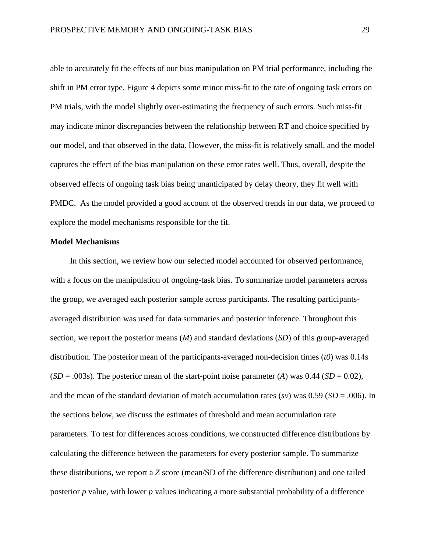able to accurately fit the effects of our bias manipulation on PM trial performance, including the shift in PM error type. Figure 4 depicts some minor miss-fit to the rate of ongoing task errors on PM trials, with the model slightly over-estimating the frequency of such errors. Such miss-fit may indicate minor discrepancies between the relationship between RT and choice specified by our model, and that observed in the data. However, the miss-fit is relatively small, and the model captures the effect of the bias manipulation on these error rates well. Thus, overall, despite the observed effects of ongoing task bias being unanticipated by delay theory, they fit well with PMDC. As the model provided a good account of the observed trends in our data, we proceed to explore the model mechanisms responsible for the fit.

### **Model Mechanisms**

In this section, we review how our selected model accounted for observed performance, with a focus on the manipulation of ongoing-task bias. To summarize model parameters across the group, we averaged each posterior sample across participants. The resulting participantsaveraged distribution was used for data summaries and posterior inference. Throughout this section, we report the posterior means (*M*) and standard deviations (*SD*) of this group-averaged distribution. The posterior mean of the participants-averaged non-decision times (*t0*) was 0.14s  $(SD = .003s)$ . The posterior mean of the start-point noise parameter (*A*) was 0.44 (*SD* = 0.02), and the mean of the standard deviation of match accumulation rates (*sv*) was 0.59 (*SD* = .006). In the sections below, we discuss the estimates of threshold and mean accumulation rate parameters. To test for differences across conditions, we constructed difference distributions by calculating the difference between the parameters for every posterior sample. To summarize these distributions, we report a *Z* score (mean/SD of the difference distribution) and one tailed posterior *p* value, with lower *p* values indicating a more substantial probability of a difference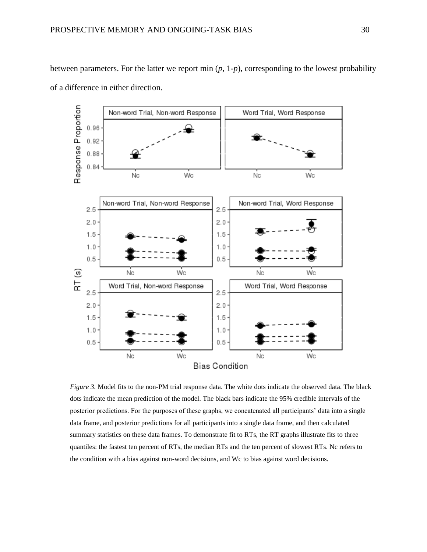

between parameters. For the latter we report min (*p*, 1-*p*), corresponding to the lowest probability of a difference in either direction.

*Figure 3.* Model fits to the non-PM trial response data. The white dots indicate the observed data. The black dots indicate the mean prediction of the model. The black bars indicate the 95% credible intervals of the posterior predictions. For the purposes of these graphs, we concatenated all participants' data into a single data frame, and posterior predictions for all participants into a single data frame, and then calculated summary statistics on these data frames. To demonstrate fit to RTs, the RT graphs illustrate fits to three quantiles: the fastest ten percent of RTs, the median RTs and the ten percent of slowest RTs. Nc refers to the condition with a bias against non-word decisions, and Wc to bias against word decisions.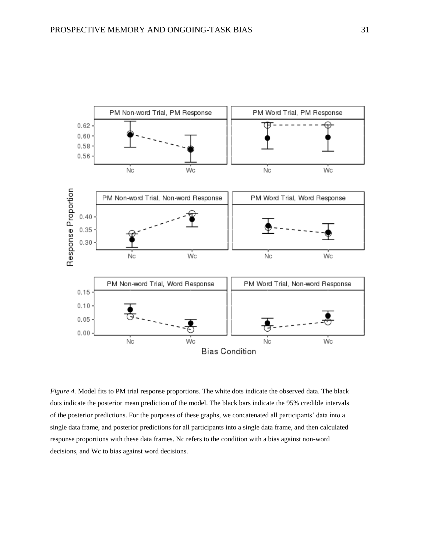

*Figure 4.* Model fits to PM trial response proportions. The white dots indicate the observed data. The black dots indicate the posterior mean prediction of the model. The black bars indicate the 95% credible intervals of the posterior predictions. For the purposes of these graphs, we concatenated all participants' data into a single data frame, and posterior predictions for all participants into a single data frame, and then calculated response proportions with these data frames. Nc refers to the condition with a bias against non-word decisions, and Wc to bias against word decisions.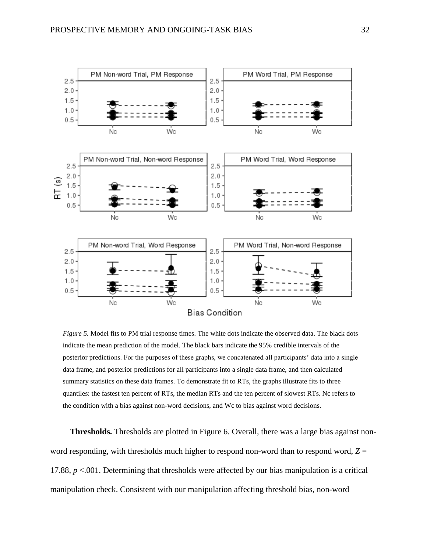

*Figure 5.* Model fits to PM trial response times. The white dots indicate the observed data. The black dots indicate the mean prediction of the model. The black bars indicate the 95% credible intervals of the posterior predictions. For the purposes of these graphs, we concatenated all participants' data into a single data frame, and posterior predictions for all participants into a single data frame, and then calculated summary statistics on these data frames. To demonstrate fit to RTs, the graphs illustrate fits to three quantiles: the fastest ten percent of RTs, the median RTs and the ten percent of slowest RTs. Nc refers to the condition with a bias against non-word decisions, and Wc to bias against word decisions.

**Thresholds.** Thresholds are plotted in Figure 6. Overall, there was a large bias against nonword responding, with thresholds much higher to respond non-word than to respond word, *Z* = 17.88, *p* <.001. Determining that thresholds were affected by our bias manipulation is a critical manipulation check. Consistent with our manipulation affecting threshold bias, non-word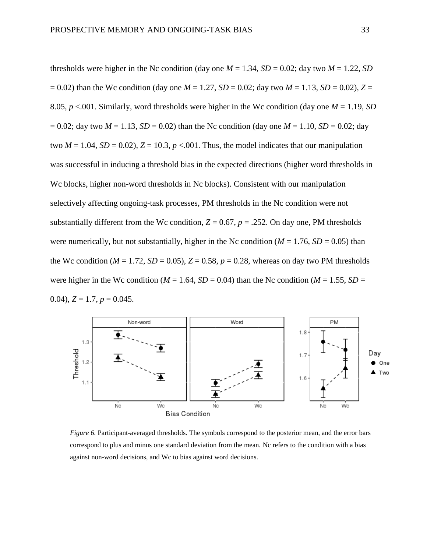thresholds were higher in the Nc condition (day one  $M = 1.34$ ,  $SD = 0.02$ ; day two  $M = 1.22$ , *SD*  $= 0.02$ ) than the Wc condition (day one  $M = 1.27$ ,  $SD = 0.02$ ; day two  $M = 1.13$ ,  $SD = 0.02$ ),  $Z = 0.02$ 8.05, *p* <.001. Similarly, word thresholds were higher in the Wc condition (day one *M* = 1.19, *SD*  $= 0.02$ ; day two  $M = 1.13$ ,  $SD = 0.02$ ) than the Nc condition (day one  $M = 1.10$ ,  $SD = 0.02$ ; day two  $M = 1.04$ ,  $SD = 0.02$ ),  $Z = 10.3$ ,  $p < .001$ . Thus, the model indicates that our manipulation was successful in inducing a threshold bias in the expected directions (higher word thresholds in Wc blocks, higher non-word thresholds in Nc blocks). Consistent with our manipulation selectively affecting ongoing-task processes, PM thresholds in the Nc condition were not substantially different from the Wc condition,  $Z = 0.67$ ,  $p = .252$ . On day one, PM thresholds were numerically, but not substantially, higher in the Nc condition ( $M = 1.76$ ,  $SD = 0.05$ ) than the Wc condition ( $M = 1.72$ ,  $SD = 0.05$ ),  $Z = 0.58$ ,  $p = 0.28$ , whereas on day two PM thresholds were higher in the Wc condition ( $M = 1.64$ ,  $SD = 0.04$ ) than the Nc condition ( $M = 1.55$ ,  $SD =$ 0.04),  $Z = 1.7$ ,  $p = 0.045$ .



*Figure 6. Participant-averaged thresholds. The symbols correspond to the posterior mean, and the error bars* correspond to plus and minus one standard deviation from the mean. Nc refers to the condition with a bias against non-word decisions, and Wc to bias against word decisions.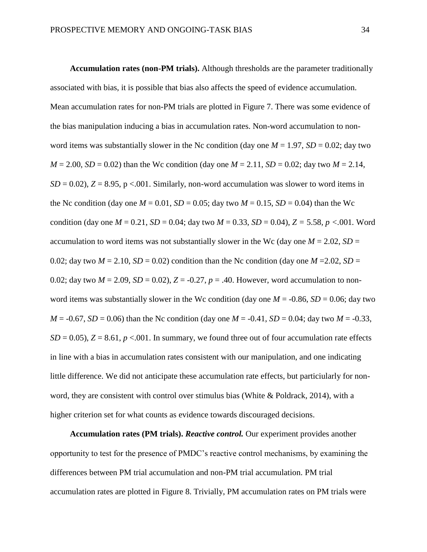**Accumulation rates (non-PM trials).** Although thresholds are the parameter traditionally associated with bias, it is possible that bias also affects the speed of evidence accumulation. Mean accumulation rates for non-PM trials are plotted in Figure 7. There was some evidence of the bias manipulation inducing a bias in accumulation rates. Non-word accumulation to nonword items was substantially slower in the Nc condition (day one  $M = 1.97$ ,  $SD = 0.02$ ; day two  $M = 2.00$ , *SD* = 0.02) than the Wc condition (day one  $M = 2.11$ , *SD* = 0.02; day two  $M = 2.14$ ,  $SD = 0.02$ ),  $Z = 8.95$ ,  $p < .001$ . Similarly, non-word accumulation was slower to word items in the Nc condition (day one  $M = 0.01$ ,  $SD = 0.05$ ; day two  $M = 0.15$ ,  $SD = 0.04$ ) than the Wc condition (day one  $M = 0.21$ ,  $SD = 0.04$ ; day two  $M = 0.33$ ,  $SD = 0.04$ ),  $Z = 5.58$ ,  $p < 0.01$ . Word accumulation to word items was not substantially slower in the Wc (day one  $M = 2.02$ ,  $SD =$ 0.02; day two  $M = 2.10$ ,  $SD = 0.02$ ) condition than the Nc condition (day one  $M = 2.02$ ,  $SD =$ 0.02; day two  $M = 2.09$ ,  $SD = 0.02$ ),  $Z = -0.27$ ,  $p = .40$ . However, word accumulation to nonword items was substantially slower in the Wc condition (day one  $M = -0.86$ ,  $SD = 0.06$ ; day two *M* = -0.67, *SD* = 0.06) than the Nc condition (day one *M* = -0.41, *SD* = 0.04; day two *M* = -0.33,  $SD = 0.05$ ),  $Z = 8.61$ ,  $p < 0.01$ . In summary, we found three out of four accumulation rate effects in line with a bias in accumulation rates consistent with our manipulation, and one indicating little difference. We did not anticipate these accumulation rate effects, but particiularly for nonword, they are consistent with control over stimulus bias (White & Poldrack, 2014), with a higher criterion set for what counts as evidence towards discouraged decisions.

**Accumulation rates (PM trials).** *Reactive control.* Our experiment provides another opportunity to test for the presence of PMDC's reactive control mechanisms, by examining the differences between PM trial accumulation and non-PM trial accumulation. PM trial accumulation rates are plotted in Figure 8. Trivially, PM accumulation rates on PM trials were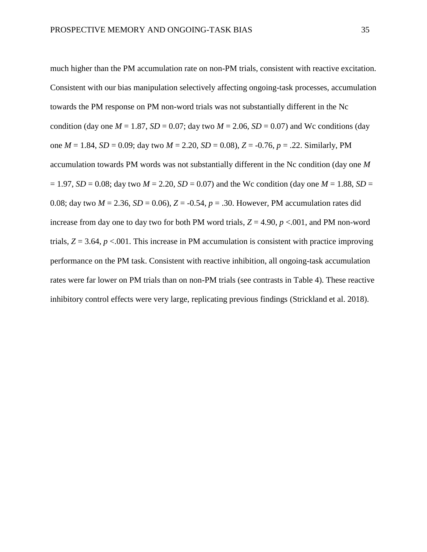much higher than the PM accumulation rate on non-PM trials, consistent with reactive excitation. Consistent with our bias manipulation selectively affecting ongoing-task processes, accumulation towards the PM response on PM non-word trials was not substantially different in the Nc condition (day one  $M = 1.87$ ,  $SD = 0.07$ ; day two  $M = 2.06$ ,  $SD = 0.07$ ) and Wc conditions (day one *M* = 1.84, *SD* = 0.09; day two *M* = 2.20, *SD* = 0.08), *Z* = -0.76, *p* = .22. Similarly, PM accumulation towards PM words was not substantially different in the Nc condition (day one *M*  $= 1.97$ , *SD* = 0.08; day two *M* = 2.20, *SD* = 0.07) and the Wc condition (day one *M* = 1.88, *SD* = 0.08; day two  $M = 2.36$ ,  $SD = 0.06$ ),  $Z = -0.54$ ,  $p = .30$ . However, PM accumulation rates did increase from day one to day two for both PM word trials,  $Z = 4.90$ ,  $p < .001$ , and PM non-word trials,  $Z = 3.64$ ,  $p < .001$ . This increase in PM accumulation is consistent with practice improving performance on the PM task. Consistent with reactive inhibition, all ongoing-task accumulation rates were far lower on PM trials than on non-PM trials (see contrasts in Table 4). These reactive inhibitory control effects were very large, replicating previous findings (Strickland et al. 2018).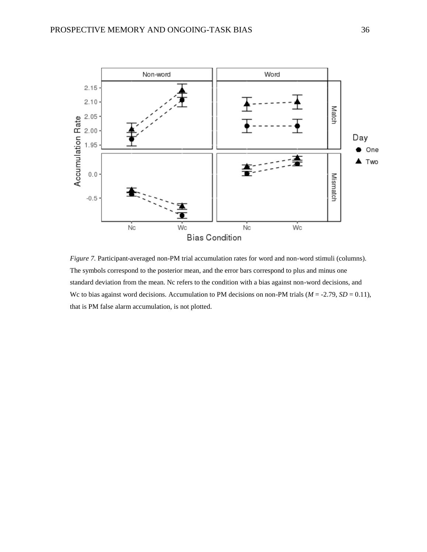

*Figure 7.* Participant-averaged non-PM trial accumulation rates for word and non-word stimuli (columns). The symbols correspond to the posterior mean, and the error bars correspond to plus and minus one standard deviation from the mean. Nc refers to the condition with a bias against non-word decisions, and We to bias against word decisions. Accumulation to PM decisions on non-PM trials ( $M = -2.79$ ,  $SD = 0.11$ ), that is PM false alarm accumulation, is not plotted.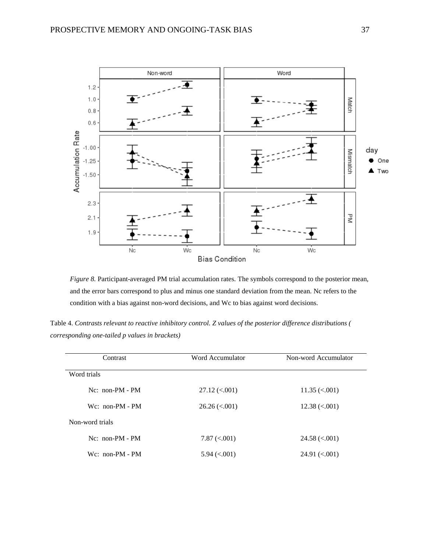

*Figure 8.* Participant-averaged PM trial accumulation rates. The symbols correspond to the posterior mean, and the error bars correspond to plus and minus one standard deviation from the mean. Nc refers to the condition with a bias against non-word decisions, and Wc to bias against word decisions.

| Table 4. Contrasts relevant to reactive inhibitory control. Z values of the posterior difference distributions ( |  |
|------------------------------------------------------------------------------------------------------------------|--|
| corresponding one-tailed p values in brackets)                                                                   |  |

| Contrast           | Word Accumulator                   | Non-word Accumulator  |
|--------------------|------------------------------------|-----------------------|
| Word trials        |                                    |                       |
| $Nc$ : non-PM - PM | $27.12 \, \text{(} < .001\text{)}$ | $11.35 \approx 0.001$ |
| $Wc$ : non-PM - PM | $26.26 \, \textless\, 001)$        | $12.38 \approx 0.001$ |
| Non-word trials    |                                    |                       |
| $Nc$ : non-PM - PM | $7.87 \approx 0.001$               | $24.58 \approx 0.001$ |
| $Wc: non-PM - PM$  | $5.94 \approx 0.001$               | $24.91 \approx 0.001$ |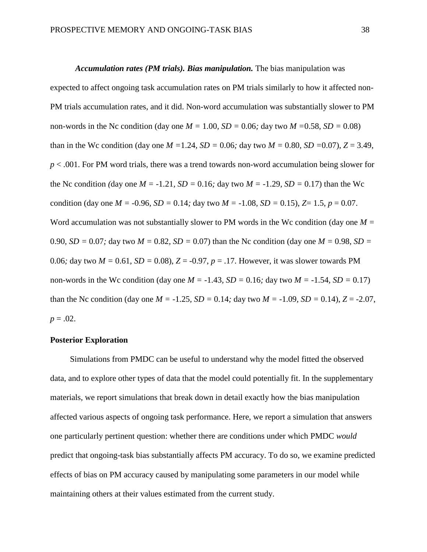*Accumulation rates (PM trials). Bias manipulation.* The bias manipulation was expected to affect ongoing task accumulation rates on PM trials similarly to how it affected non-PM trials accumulation rates, and it did. Non-word accumulation was substantially slower to PM non-words in the Nc condition (day one  $M = 1.00$ ,  $SD = 0.06$ ; day two  $M = 0.58$ ,  $SD = 0.08$ ) than in the Wc condition (day one  $M = 1.24$ ,  $SD = 0.06$ ; day two  $M = 0.80$ ,  $SD = 0.07$ ),  $Z = 3.49$ , *p* < .001. For PM word trials, there was a trend towards non-word accumulation being slower for the Nc condition *(day one*  $M = -1.21$ *, SD = 0.16; day two*  $M = -1.29$ *, SD = 0.17)* than the Wc condition (day one  $M = -0.96$ ,  $SD = 0.14$ ; day two  $M = -1.08$ ,  $SD = 0.15$ ),  $Z = 1.5$ ,  $p = 0.07$ . Word accumulation was not substantially slower to PM words in the Wc condition (day one  $M =$ 0.90*, SD* = 0.07*;* day two  $M = 0.82$ , *SD* = 0.07*)* than the Nc condition (day one  $M = 0.98$ , *SD* = 0.06; day two  $M = 0.61$ ,  $SD = 0.08$ ),  $Z = -0.97$ ,  $p = .17$ . However, it was slower towards PM non-words in the Wc condition (day one  $M = -1.43$ ,  $SD = 0.16$ ; day two  $M = -1.54$ ,  $SD = 0.17$ ) than the Nc condition (day one  $M = -1.25$ ,  $SD = 0.14$ ; day two  $M = -1.09$ ,  $SD = 0.14$ ),  $Z = -2.07$ ,  $p = .02$ .

#### **Posterior Exploration**

Simulations from PMDC can be useful to understand why the model fitted the observed data, and to explore other types of data that the model could potentially fit. In the supplementary materials, we report simulations that break down in detail exactly how the bias manipulation affected various aspects of ongoing task performance. Here, we report a simulation that answers one particularly pertinent question: whether there are conditions under which PMDC *would* predict that ongoing-task bias substantially affects PM accuracy. To do so, we examine predicted effects of bias on PM accuracy caused by manipulating some parameters in our model while maintaining others at their values estimated from the current study.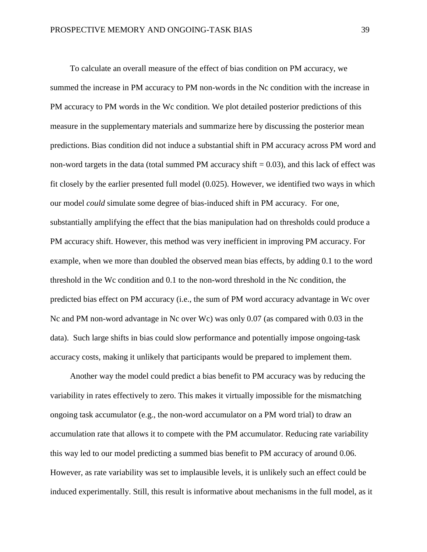To calculate an overall measure of the effect of bias condition on PM accuracy, we summed the increase in PM accuracy to PM non-words in the Nc condition with the increase in PM accuracy to PM words in the Wc condition. We plot detailed posterior predictions of this measure in the supplementary materials and summarize here by discussing the posterior mean predictions. Bias condition did not induce a substantial shift in PM accuracy across PM word and non-word targets in the data (total summed PM accuracy shift  $= 0.03$ ), and this lack of effect was fit closely by the earlier presented full model (0.025). However, we identified two ways in which our model *could* simulate some degree of bias-induced shift in PM accuracy. For one, substantially amplifying the effect that the bias manipulation had on thresholds could produce a PM accuracy shift. However, this method was very inefficient in improving PM accuracy. For example, when we more than doubled the observed mean bias effects, by adding 0.1 to the word threshold in the Wc condition and 0.1 to the non-word threshold in the Nc condition, the predicted bias effect on PM accuracy (i.e., the sum of PM word accuracy advantage in Wc over Nc and PM non-word advantage in Nc over Wc) was only 0.07 (as compared with 0.03 in the data). Such large shifts in bias could slow performance and potentially impose ongoing-task accuracy costs, making it unlikely that participants would be prepared to implement them.

Another way the model could predict a bias benefit to PM accuracy was by reducing the variability in rates effectively to zero. This makes it virtually impossible for the mismatching ongoing task accumulator (e.g., the non-word accumulator on a PM word trial) to draw an accumulation rate that allows it to compete with the PM accumulator. Reducing rate variability this way led to our model predicting a summed bias benefit to PM accuracy of around 0.06. However, as rate variability was set to implausible levels, it is unlikely such an effect could be induced experimentally. Still, this result is informative about mechanisms in the full model, as it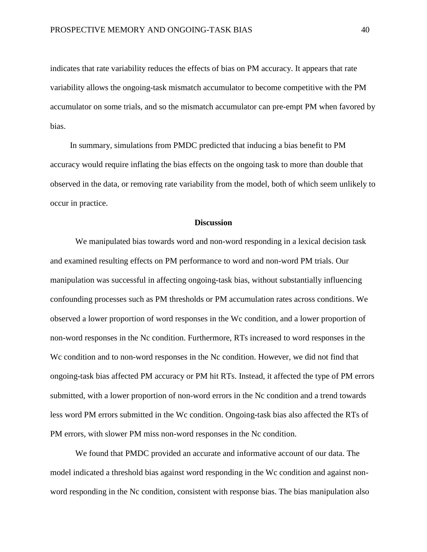indicates that rate variability reduces the effects of bias on PM accuracy. It appears that rate variability allows the ongoing-task mismatch accumulator to become competitive with the PM accumulator on some trials, and so the mismatch accumulator can pre-empt PM when favored by bias.

In summary, simulations from PMDC predicted that inducing a bias benefit to PM accuracy would require inflating the bias effects on the ongoing task to more than double that observed in the data, or removing rate variability from the model, both of which seem unlikely to occur in practice.

#### **Discussion**

We manipulated bias towards word and non-word responding in a lexical decision task and examined resulting effects on PM performance to word and non-word PM trials. Our manipulation was successful in affecting ongoing-task bias, without substantially influencing confounding processes such as PM thresholds or PM accumulation rates across conditions. We observed a lower proportion of word responses in the Wc condition, and a lower proportion of non-word responses in the Nc condition. Furthermore, RTs increased to word responses in the We condition and to non-word responses in the Nc condition. However, we did not find that ongoing-task bias affected PM accuracy or PM hit RTs. Instead, it affected the type of PM errors submitted, with a lower proportion of non-word errors in the Nc condition and a trend towards less word PM errors submitted in the Wc condition. Ongoing-task bias also affected the RTs of PM errors, with slower PM miss non-word responses in the Nc condition.

We found that PMDC provided an accurate and informative account of our data. The model indicated a threshold bias against word responding in the Wc condition and against nonword responding in the Nc condition, consistent with response bias. The bias manipulation also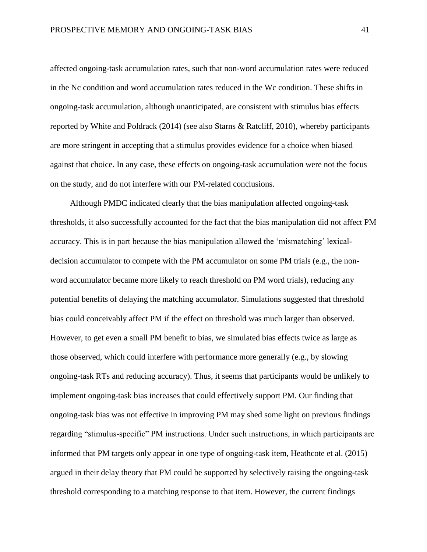affected ongoing-task accumulation rates, such that non-word accumulation rates were reduced in the Nc condition and word accumulation rates reduced in the Wc condition. These shifts in ongoing-task accumulation, although unanticipated, are consistent with stimulus bias effects reported by White and Poldrack (2014) (see also Starns & Ratcliff, 2010), whereby participants are more stringent in accepting that a stimulus provides evidence for a choice when biased against that choice. In any case, these effects on ongoing-task accumulation were not the focus on the study, and do not interfere with our PM-related conclusions.

Although PMDC indicated clearly that the bias manipulation affected ongoing-task thresholds, it also successfully accounted for the fact that the bias manipulation did not affect PM accuracy. This is in part because the bias manipulation allowed the 'mismatching' lexicaldecision accumulator to compete with the PM accumulator on some PM trials (e.g., the nonword accumulator became more likely to reach threshold on PM word trials), reducing any potential benefits of delaying the matching accumulator. Simulations suggested that threshold bias could conceivably affect PM if the effect on threshold was much larger than observed. However, to get even a small PM benefit to bias, we simulated bias effects twice as large as those observed, which could interfere with performance more generally (e.g., by slowing ongoing-task RTs and reducing accuracy). Thus, it seems that participants would be unlikely to implement ongoing-task bias increases that could effectively support PM. Our finding that ongoing-task bias was not effective in improving PM may shed some light on previous findings regarding "stimulus-specific" PM instructions. Under such instructions, in which participants are informed that PM targets only appear in one type of ongoing-task item, Heathcote et al. (2015) argued in their delay theory that PM could be supported by selectively raising the ongoing-task threshold corresponding to a matching response to that item. However, the current findings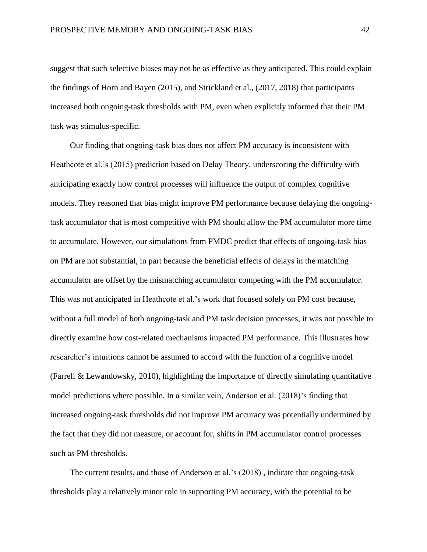suggest that such selective biases may not be as effective as they anticipated. This could explain the findings of Horn and Bayen (2015), and Strickland et al., (2017, 2018) that participants increased both ongoing-task thresholds with PM, even when explicitly informed that their PM task was stimulus-specific.

Our finding that ongoing-task bias does not affect PM accuracy is inconsistent with Heathcote et al.'s (2015) prediction based on Delay Theory, underscoring the difficulty with anticipating exactly how control processes will influence the output of complex cognitive models. They reasoned that bias might improve PM performance because delaying the ongoingtask accumulator that is most competitive with PM should allow the PM accumulator more time to accumulate. However, our simulations from PMDC predict that effects of ongoing-task bias on PM are not substantial, in part because the beneficial effects of delays in the matching accumulator are offset by the mismatching accumulator competing with the PM accumulator. This was not anticipated in Heathcote et al.'s work that focused solely on PM cost because, without a full model of both ongoing-task and PM task decision processes, it was not possible to directly examine how cost-related mechanisms impacted PM performance. This illustrates how researcher's intuitions cannot be assumed to accord with the function of a cognitive model (Farrell & Lewandowsky, 2010), highlighting the importance of directly simulating quantitative model predictions where possible. In a similar vein, Anderson et al. (2018)'s finding that increased ongoing-task thresholds did not improve PM accuracy was potentially undermined by the fact that they did not measure, or account for, shifts in PM accumulator control processes such as PM thresholds.

The current results, and those of Anderson et al.'s (2018) , indicate that ongoing-task thresholds play a relatively minor role in supporting PM accuracy, with the potential to be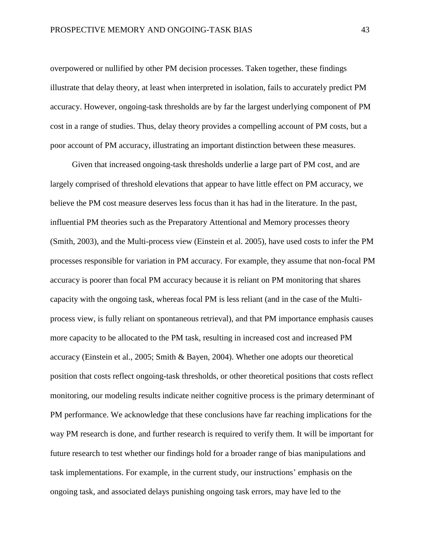overpowered or nullified by other PM decision processes. Taken together, these findings illustrate that delay theory, at least when interpreted in isolation, fails to accurately predict PM accuracy. However, ongoing-task thresholds are by far the largest underlying component of PM cost in a range of studies. Thus, delay theory provides a compelling account of PM costs, but a poor account of PM accuracy, illustrating an important distinction between these measures.

Given that increased ongoing-task thresholds underlie a large part of PM cost, and are largely comprised of threshold elevations that appear to have little effect on PM accuracy, we believe the PM cost measure deserves less focus than it has had in the literature. In the past, influential PM theories such as the Preparatory Attentional and Memory processes theory (Smith, 2003), and the Multi-process view (Einstein et al. 2005), have used costs to infer the PM processes responsible for variation in PM accuracy. For example, they assume that non-focal PM accuracy is poorer than focal PM accuracy because it is reliant on PM monitoring that shares capacity with the ongoing task, whereas focal PM is less reliant (and in the case of the Multiprocess view, is fully reliant on spontaneous retrieval), and that PM importance emphasis causes more capacity to be allocated to the PM task, resulting in increased cost and increased PM accuracy (Einstein et al., 2005; Smith & Bayen, 2004). Whether one adopts our theoretical position that costs reflect ongoing-task thresholds, or other theoretical positions that costs reflect monitoring, our modeling results indicate neither cognitive process is the primary determinant of PM performance. We acknowledge that these conclusions have far reaching implications for the way PM research is done, and further research is required to verify them. It will be important for future research to test whether our findings hold for a broader range of bias manipulations and task implementations. For example, in the current study, our instructions' emphasis on the ongoing task, and associated delays punishing ongoing task errors, may have led to the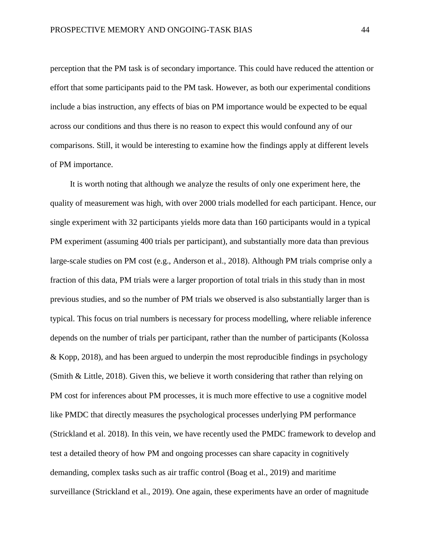perception that the PM task is of secondary importance. This could have reduced the attention or effort that some participants paid to the PM task. However, as both our experimental conditions include a bias instruction, any effects of bias on PM importance would be expected to be equal across our conditions and thus there is no reason to expect this would confound any of our comparisons. Still, it would be interesting to examine how the findings apply at different levels of PM importance.

It is worth noting that although we analyze the results of only one experiment here, the quality of measurement was high, with over 2000 trials modelled for each participant. Hence, our single experiment with 32 participants yields more data than 160 participants would in a typical PM experiment (assuming 400 trials per participant), and substantially more data than previous large-scale studies on PM cost (e.g., Anderson et al., 2018). Although PM trials comprise only a fraction of this data, PM trials were a larger proportion of total trials in this study than in most previous studies, and so the number of PM trials we observed is also substantially larger than is typical. This focus on trial numbers is necessary for process modelling, where reliable inference depends on the number of trials per participant, rather than the number of participants (Kolossa & Kopp, 2018), and has been argued to underpin the most reproducible findings in psychology (Smith & Little, 2018). Given this, we believe it worth considering that rather than relying on PM cost for inferences about PM processes, it is much more effective to use a cognitive model like PMDC that directly measures the psychological processes underlying PM performance (Strickland et al. 2018). In this vein, we have recently used the PMDC framework to develop and test a detailed theory of how PM and ongoing processes can share capacity in cognitively demanding, complex tasks such as air traffic control (Boag et al., 2019) and maritime surveillance (Strickland et al., 2019). One again, these experiments have an order of magnitude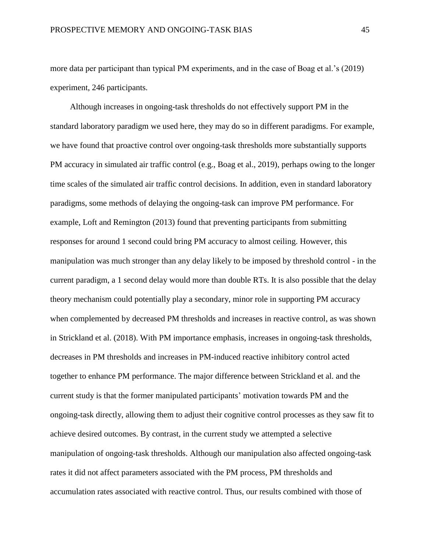more data per participant than typical PM experiments, and in the case of Boag et al.'s (2019) experiment, 246 participants.

Although increases in ongoing-task thresholds do not effectively support PM in the standard laboratory paradigm we used here, they may do so in different paradigms. For example, we have found that proactive control over ongoing-task thresholds more substantially supports PM accuracy in simulated air traffic control (e.g., Boag et al., 2019), perhaps owing to the longer time scales of the simulated air traffic control decisions. In addition, even in standard laboratory paradigms, some methods of delaying the ongoing-task can improve PM performance. For example, Loft and Remington (2013) found that preventing participants from submitting responses for around 1 second could bring PM accuracy to almost ceiling. However, this manipulation was much stronger than any delay likely to be imposed by threshold control - in the current paradigm, a 1 second delay would more than double RTs. It is also possible that the delay theory mechanism could potentially play a secondary, minor role in supporting PM accuracy when complemented by decreased PM thresholds and increases in reactive control, as was shown in Strickland et al. (2018). With PM importance emphasis, increases in ongoing-task thresholds, decreases in PM thresholds and increases in PM-induced reactive inhibitory control acted together to enhance PM performance. The major difference between Strickland et al. and the current study is that the former manipulated participants' motivation towards PM and the ongoing-task directly, allowing them to adjust their cognitive control processes as they saw fit to achieve desired outcomes. By contrast, in the current study we attempted a selective manipulation of ongoing-task thresholds. Although our manipulation also affected ongoing-task rates it did not affect parameters associated with the PM process, PM thresholds and accumulation rates associated with reactive control. Thus, our results combined with those of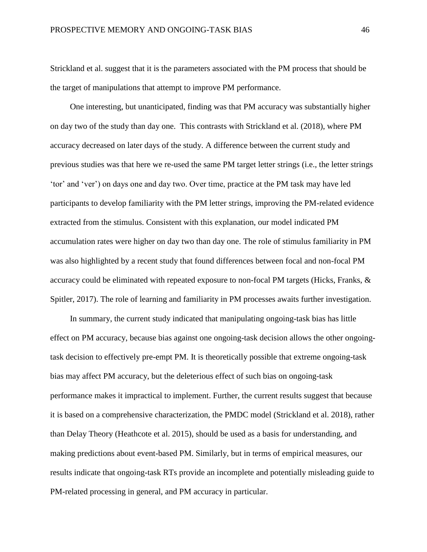Strickland et al. suggest that it is the parameters associated with the PM process that should be the target of manipulations that attempt to improve PM performance.

One interesting, but unanticipated, finding was that PM accuracy was substantially higher on day two of the study than day one. This contrasts with Strickland et al. (2018), where PM accuracy decreased on later days of the study. A difference between the current study and previous studies was that here we re-used the same PM target letter strings (i.e., the letter strings 'tor' and 'ver') on days one and day two. Over time, practice at the PM task may have led participants to develop familiarity with the PM letter strings, improving the PM-related evidence extracted from the stimulus. Consistent with this explanation, our model indicated PM accumulation rates were higher on day two than day one. The role of stimulus familiarity in PM was also highlighted by a recent study that found differences between focal and non-focal PM accuracy could be eliminated with repeated exposure to non-focal PM targets (Hicks, Franks, & Spitler, 2017). The role of learning and familiarity in PM processes awaits further investigation.

In summary, the current study indicated that manipulating ongoing-task bias has little effect on PM accuracy, because bias against one ongoing-task decision allows the other ongoingtask decision to effectively pre-empt PM. It is theoretically possible that extreme ongoing-task bias may affect PM accuracy, but the deleterious effect of such bias on ongoing-task performance makes it impractical to implement. Further, the current results suggest that because it is based on a comprehensive characterization, the PMDC model (Strickland et al. 2018), rather than Delay Theory (Heathcote et al. 2015), should be used as a basis for understanding, and making predictions about event-based PM. Similarly, but in terms of empirical measures, our results indicate that ongoing-task RTs provide an incomplete and potentially misleading guide to PM-related processing in general, and PM accuracy in particular.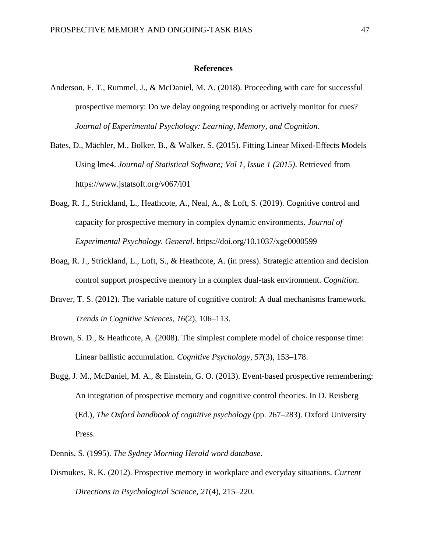#### **References**

- Anderson, F. T., Rummel, J., & McDaniel, M. A. (2018). Proceeding with care for successful prospective memory: Do we delay ongoing responding or actively monitor for cues? *Journal of Experimental Psychology: Learning, Memory, and Cognition*.
- Bates, D., Mächler, M., Bolker, B., & Walker, S. (2015). Fitting Linear Mixed-Effects Models Using lme4. *Journal of Statistical Software; Vol 1, Issue 1 (2015)*. Retrieved from https://www.jstatsoft.org/v067/i01
- Boag, R. J., Strickland, L., Heathcote, A., Neal, A., & Loft, S. (2019). Cognitive control and capacity for prospective memory in complex dynamic environments. *Journal of Experimental Psychology. General*. https://doi.org/10.1037/xge0000599
- Boag, R. J., Strickland, L., Loft, S., & Heathcote, A. (in press). Strategic attention and decision control support prospective memory in a complex dual-task environment. *Cognition*.
- Braver, T. S. (2012). The variable nature of cognitive control: A dual mechanisms framework. *Trends in Cognitive Sciences*, *16*(2), 106–113.
- Brown, S. D., & Heathcote, A. (2008). The simplest complete model of choice response time: Linear ballistic accumulation. *Cognitive Psychology*, *57*(3), 153–178.
- Bugg, J. M., McDaniel, M. A., & Einstein, G. O. (2013). Event-based prospective remembering: An integration of prospective memory and cognitive control theories. In D. Reisberg (Ed.), *The Oxford handbook of cognitive psychology* (pp. 267–283). Oxford University Press.
- Dennis, S. (1995). *The Sydney Morning Herald word database*.
- Dismukes, R. K. (2012). Prospective memory in workplace and everyday situations. *Current Directions in Psychological Science*, *21*(4), 215–220.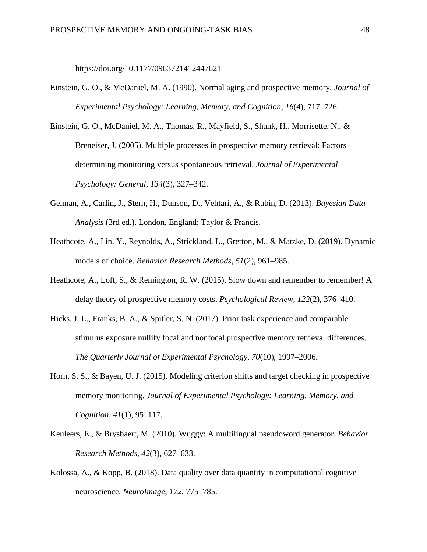https://doi.org/10.1177/0963721412447621

Einstein, G. O., & McDaniel, M. A. (1990). Normal aging and prospective memory. *Journal of Experimental Psychology: Learning, Memory, and Cognition*, *16*(4), 717–726.

Einstein, G. O., McDaniel, M. A., Thomas, R., Mayfield, S., Shank, H., Morrisette, N., & Breneiser, J. (2005). Multiple processes in prospective memory retrieval: Factors determining monitoring versus spontaneous retrieval. *Journal of Experimental Psychology: General*, *134*(3), 327–342.

- Gelman, A., Carlin, J., Stern, H., Dunson, D., Vehtari, A., & Rubin, D. (2013). *Bayesian Data Analysis* (3rd ed.). London, England: Taylor & Francis.
- Heathcote, A., Lin, Y., Reynolds, A., Strickland, L., Gretton, M., & Matzke, D. (2019). Dynamic models of choice. *Behavior Research Methods*, *51*(2), 961–985.
- Heathcote, A., Loft, S., & Remington, R. W. (2015). Slow down and remember to remember! A delay theory of prospective memory costs. *Psychological Review*, *122*(2), 376–410.
- Hicks, J. L., Franks, B. A., & Spitler, S. N. (2017). Prior task experience and comparable stimulus exposure nullify focal and nonfocal prospective memory retrieval differences. *The Quarterly Journal of Experimental Psychology*, *70*(10), 1997–2006.
- Horn, S. S., & Bayen, U. J. (2015). Modeling criterion shifts and target checking in prospective memory monitoring. *Journal of Experimental Psychology: Learning, Memory, and Cognition*, *41*(1), 95–117.
- Keuleers, E., & Brysbaert, M. (2010). Wuggy: A multilingual pseudoword generator. *Behavior Research Methods*, *42*(3), 627–633.
- Kolossa, A., & Kopp, B. (2018). Data quality over data quantity in computational cognitive neuroscience. *NeuroImage*, *172*, 775–785.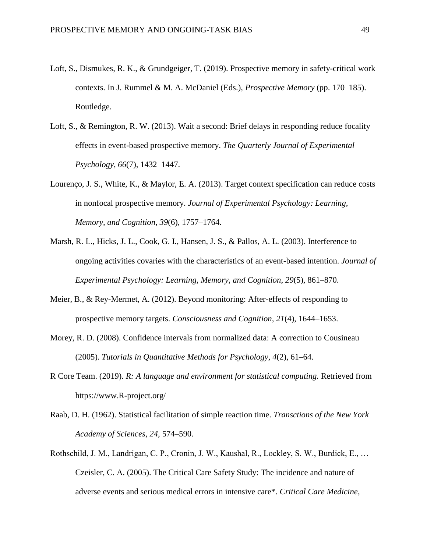- Loft, S., Dismukes, R. K., & Grundgeiger, T. (2019). Prospective memory in safety-critical work contexts. In J. Rummel & M. A. McDaniel (Eds.), *Prospective Memory* (pp. 170–185). Routledge.
- Loft, S., & Remington, R. W. (2013). Wait a second: Brief delays in responding reduce focality effects in event-based prospective memory. *The Quarterly Journal of Experimental Psychology*, *66*(7), 1432–1447.
- Lourenço, J. S., White, K., & Maylor, E. A. (2013). Target context specification can reduce costs in nonfocal prospective memory. *Journal of Experimental Psychology: Learning, Memory, and Cognition*, *39*(6), 1757–1764.
- Marsh, R. L., Hicks, J. L., Cook, G. I., Hansen, J. S., & Pallos, A. L. (2003). Interference to ongoing activities covaries with the characteristics of an event-based intention. *Journal of Experimental Psychology: Learning, Memory, and Cognition*, *29*(5), 861–870.
- Meier, B., & Rey-Mermet, A. (2012). Beyond monitoring: After-effects of responding to prospective memory targets. *Consciousness and Cognition*, *21*(4), 1644–1653.
- Morey, R. D. (2008). Confidence intervals from normalized data: A correction to Cousineau (2005). *Tutorials in Quantitative Methods for Psychology*, *4*(2), 61–64.
- R Core Team. (2019). *R: A language and environment for statistical computing.* Retrieved from https://www.R-project.org/
- Raab, D. H. (1962). Statistical facilitation of simple reaction time. *Transctions of the New York Academy of Sciences*, *24*, 574–590.
- Rothschild, J. M., Landrigan, C. P., Cronin, J. W., Kaushal, R., Lockley, S. W., Burdick, E., … Czeisler, C. A. (2005). The Critical Care Safety Study: The incidence and nature of adverse events and serious medical errors in intensive care\*. *Critical Care Medicine*,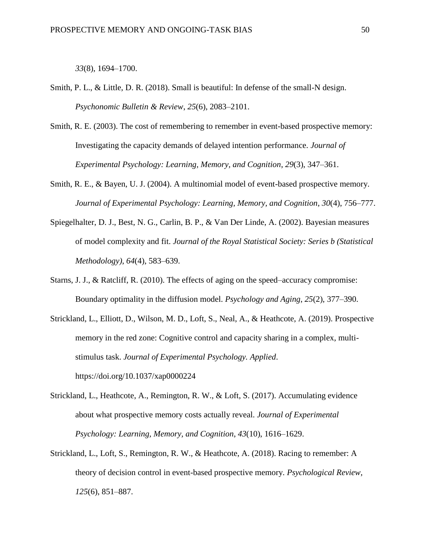*33*(8), 1694–1700.

- Smith, P. L., & Little, D. R. (2018). Small is beautiful: In defense of the small-N design. *Psychonomic Bulletin & Review*, *25*(6), 2083–2101.
- Smith, R. E. (2003). The cost of remembering to remember in event-based prospective memory: Investigating the capacity demands of delayed intention performance. *Journal of Experimental Psychology: Learning, Memory, and Cognition*, *29*(3), 347–361.
- Smith, R. E., & Bayen, U. J. (2004). A multinomial model of event-based prospective memory. *Journal of Experimental Psychology: Learning, Memory, and Cognition*, *30*(4), 756–777.
- Spiegelhalter, D. J., Best, N. G., Carlin, B. P., & Van Der Linde, A. (2002). Bayesian measures of model complexity and fit. *Journal of the Royal Statistical Society: Series b (Statistical Methodology)*, *64*(4), 583–639.
- Starns, J. J., & Ratcliff, R. (2010). The effects of aging on the speed–accuracy compromise: Boundary optimality in the diffusion model. *Psychology and Aging*, *25*(2), 377–390.
- Strickland, L., Elliott, D., Wilson, M. D., Loft, S., Neal, A., & Heathcote, A. (2019). Prospective memory in the red zone: Cognitive control and capacity sharing in a complex, multistimulus task. *Journal of Experimental Psychology. Applied*. https://doi.org/10.1037/xap0000224
- Strickland, L., Heathcote, A., Remington, R. W., & Loft, S. (2017). Accumulating evidence about what prospective memory costs actually reveal. *Journal of Experimental Psychology: Learning, Memory, and Cognition*, *43*(10), 1616–1629.
- Strickland, L., Loft, S., Remington, R. W., & Heathcote, A. (2018). Racing to remember: A theory of decision control in event-based prospective memory. *Psychological Review*, *125*(6), 851–887.